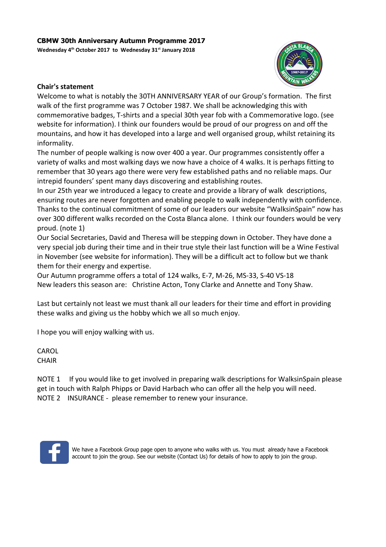**Wednesday 4th October 2017 to Wednesday 31st January 2018**



# **Chair's statement**

Welcome to what is notably the 30TH ANNIVERSARY YEAR of our Group's formation. The first walk of the first programme was 7 October 1987. We shall be acknowledging this with commemorative badges, T-shirts and a special 30th year fob with a Commemorative logo. (see website for information). I think our founders would be proud of our progress on and off the mountains, and how it has developed into a large and well organised group, whilst retaining its informality.

The number of people walking is now over 400 a year. Our programmes consistently offer a variety of walks and most walking days we now have a choice of 4 walks. It is perhaps fitting to remember that 30 years ago there were very few established paths and no reliable maps. Our intrepid founders' spent many days discovering and establishing routes.

In our 25th year we introduced a legacy to create and provide a library of walk descriptions, ensuring routes are never forgotten and enabling people to walk independently with confidence. Thanks to the continual commitment of some of our leaders our website "WalksinSpain" now has over 300 different walks recorded on the Costa Blanca alone. I think our founders would be very proud. (note 1)

Our Social Secretaries, David and Theresa will be stepping down in October. They have done a very special job during their time and in their true style their last function will be a Wine Festival in November (see website for information). They will be a difficult act to follow but we thank them for their energy and expertise.

Our Autumn programme offers a total of 124 walks, E-7, M-26, MS-33, S-40 VS-18 New leaders this season are: Christine Acton, Tony Clarke and Annette and Tony Shaw.

Last but certainly not least we must thank all our leaders for their time and effort in providing these walks and giving us the hobby which we all so much enjoy.

I hope you will enjoy walking with us.

CAROL **CHAIR** 

NOTE 1 If you would like to get involved in preparing walk descriptions for WalksinSpain please get in touch with Ralph Phipps or David Harbach who can offer all the help you will need. NOTE 2 INSURANCE - please remember to renew your insurance.



We have a Facebook Group page open to anyone who walks with us. You must already have a Facebook account to join the group. See our website (Contact Us) for details of how to apply to join the group.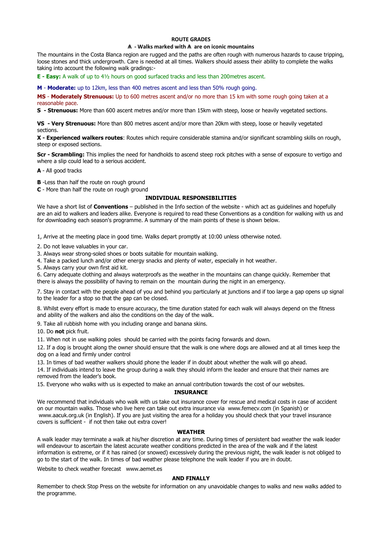### **ROUTE GRADES**

### **Ѧ - Walks marked with Ѧ are on iconic mountains**

The mountains in the Costa Blanca region are rugged and the paths are often rough with numerous hazards to cause tripping, loose stones and thick undergrowth. Care is needed at all times. Walkers should assess their ability to complete the walks taking into account the following walk gradings:-

**E - Easy:** A walk of up to 4½ hours on good surfaced tracks and less than 200metres ascent.

**M** - **Moderate:** up to 12km, less than 400 metres ascent and less than 50% rough going.

**MS** - **Moderately Strenuous:** Up to 600 metres ascent and/or no more than 15 km with some rough going taken at a reasonable pace.

**S - Strenuous:** More than 600 ascent metres and/or more than 15km with steep, loose or heavily vegetated sections.

**VS - Very Strenuous:** More than 800 metres ascent and/or more than 20km with steep, loose or heavily vegetated sections.

**X - Experienced walkers routes**: Routes which require considerable stamina and/or significant scrambling skills on rough, steep or exposed sections.

**Scr - Scrambling:** This implies the need for handholds to ascend steep rock pitches with a sense of exposure to vertigo and where a slip could lead to a serious accident.

**A** - All good tracks

**B** -Less than half the route on rough ground

**C** - More than half the route on rough ground

### **INDIVIDUAL RESPONSIBILITIES**

We have a short list of **Conventions** – published in the Info section of the website - which act as guidelines and hopefully are an aid to walkers and leaders alike. Everyone is required to read these Conventions as a condition for walking with us and for downloading each season's programme. A summary of the main points of these is shown below.

1, Arrive at the meeting place in good time. Walks depart promptly at 10:00 unless otherwise noted.

2. Do not leave valuables in your car.

3. Always wear strong-soled shoes or boots suitable for mountain walking.

4. Take a packed lunch and/or other energy snacks and plenty of water, especially in hot weather.

5. Always carry your own first aid kit.

6. Carry adequate clothing and always waterproofs as the weather in the mountains can change quickly. Remember that there is always the possibility of having to remain on the mountain during the night in an emergency.

7. Stay in contact with the people ahead of you and behind you particularly at junctions and if too large a gap opens up signal to the leader for a stop so that the gap can be closed.

8. Whilst every effort is made to ensure accuracy, the time duration stated for each walk will always depend on the fitness and ability of the walkers and also the conditions on the day of the walk.

9. Take all rubbish home with you including orange and banana skins.

10. Do **not** pick fruit.

11. When not in use walking poles should be carried with the points facing forwards and down.

12. If a dog is brought along the owner should ensure that the walk is one where dogs are allowed and at all times keep the dog on a lead and firmly under control

13. In times of bad weather walkers should phone the leader if in doubt about whether the walk will go ahead.

14. If individuals intend to leave the group during a walk they should inform the leader and ensure that their names are removed from the leader's book.

15. Everyone who walks with us is expected to make an annual contribution towards the cost of our websites.

#### **INSURANCE**

We recommend that individuals who walk with us take out insurance cover for rescue and medical costs in case of accident on our mountain walks. Those who live here can take out extra insurance via www.femecv.com (in Spanish) or www.aacuk.org.uk (in English). If you are just visiting the area for a holiday you should check that your travel insurance covers is sufficient - if not then take out extra cover!

#### **WEATHER**

A walk leader may terminate a walk at his/her discretion at any time. During times of persistent bad weather the walk leader will endeavour to ascertain the latest accurate weather conditions predicted in the area of the walk and if the latest information is extreme, or if it has rained (or snowed) excessively during the previous night, the walk leader is not obliged to go to the start of the walk. In times of bad weather please telephone the walk leader if you are in doubt.

Website to check weather forecast www.aemet.es

#### **AND FINALLY**

Remember to check Stop Press on the website for information on any unavoidable changes to walks and new walks added to the programme.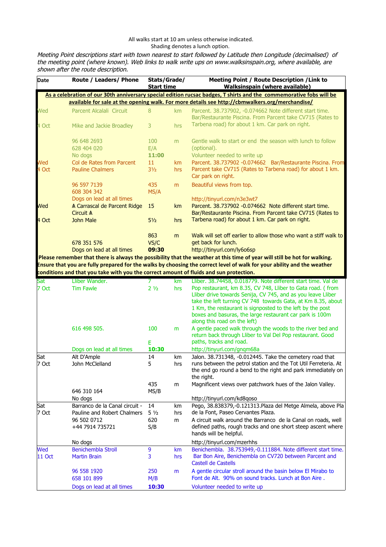## All walks start at 10 am unless otherwise indicated. Shading denotes a lunch option.

Meeting Point descriptions start with town nearest to start followed by Latitude then Longitude (decimalised) of the meeting point (where known). Web links to walk write ups on www.walksinspain.org, where available, are shown after the route description.

| Date          | Route / Leaders/ Phone                                                                 | Stats/Grade/<br><b>Start time</b>                                                                                   |           | Meeting Point / Route Description / Link to<br><b>Walksinspain (where available)</b>                                                                                                                                                                                                   |  |  |  |  |  |
|---------------|----------------------------------------------------------------------------------------|---------------------------------------------------------------------------------------------------------------------|-----------|----------------------------------------------------------------------------------------------------------------------------------------------------------------------------------------------------------------------------------------------------------------------------------------|--|--|--|--|--|
|               |                                                                                        | As a celebration of our 30th anniversary special edition rucsac badges, T shirts and the commemorative fobs will be |           |                                                                                                                                                                                                                                                                                        |  |  |  |  |  |
|               |                                                                                        |                                                                                                                     |           | available for sale at the opening walk. For more details see http://cbmwalkers.org/merchandise/                                                                                                                                                                                        |  |  |  |  |  |
| Wed           | Parcent Alcalali Circuit                                                               | 8                                                                                                                   | km        | Parcent. 38.737902, -0.074662 Note different start time.<br>Bar/Restaurante Piscina. From Parcent take CV715 (Rates to                                                                                                                                                                 |  |  |  |  |  |
| 4 Oct         | Mike and Jackie Broadley                                                               | 3                                                                                                                   | hrs       | Tarbena road) for about 1 km. Car park on right.                                                                                                                                                                                                                                       |  |  |  |  |  |
|               | 96 648 2693<br>628 404 020                                                             | 100<br>E/A                                                                                                          | m         | Gentle walk to start or end the season with lunch to follow<br>(optional).                                                                                                                                                                                                             |  |  |  |  |  |
|               | No dogs                                                                                | 11:00                                                                                                               |           | Volunteer needed to write up                                                                                                                                                                                                                                                           |  |  |  |  |  |
| Wed           | Col de Rates from Parcent                                                              | 11                                                                                                                  | km        | Parcent. 38.737902 -0.074662 Bar/Restaurante Piscina. From                                                                                                                                                                                                                             |  |  |  |  |  |
| 4 Oct         | <b>Pauline Chalmers</b>                                                                | $3\frac{1}{2}$                                                                                                      | hrs       | Parcent take CV715 (Rates to Tarbena road) for about 1 km.<br>Car park on right.                                                                                                                                                                                                       |  |  |  |  |  |
|               | 96 597 7139<br>608 304 342                                                             | 435<br>MS/A                                                                                                         | m         | Beautiful views from top.                                                                                                                                                                                                                                                              |  |  |  |  |  |
|               | Dogs on lead at all times                                                              |                                                                                                                     |           | http://tinyurl.com/n3e3wt7                                                                                                                                                                                                                                                             |  |  |  |  |  |
| Wed           | A Carrascal de Parcent Ridge<br>Circuit A                                              | 15                                                                                                                  | km        | Parcent, 38.737902 -0.074662 Note different start time.<br>Bar/Restaurante Piscina. From Parcent take CV715 (Rates to                                                                                                                                                                  |  |  |  |  |  |
| 4 Oct         | <b>John Male</b>                                                                       | $5\frac{1}{2}$                                                                                                      | hrs       | Tarbena road) for about 1 km. Car park on right.                                                                                                                                                                                                                                       |  |  |  |  |  |
|               |                                                                                        | 863                                                                                                                 | m         | Walk will set off earlier to allow those who want a stiff walk to                                                                                                                                                                                                                      |  |  |  |  |  |
|               | 678 351 576                                                                            | VS/C                                                                                                                |           | get back for lunch.                                                                                                                                                                                                                                                                    |  |  |  |  |  |
|               | Dogs on lead at all times                                                              | 09:30                                                                                                               |           | http://tinyurl.com/ly6o6sp                                                                                                                                                                                                                                                             |  |  |  |  |  |
|               |                                                                                        |                                                                                                                     |           | Please remember that there is always the possibility that the weather at this time of year will still be hot for walking.                                                                                                                                                              |  |  |  |  |  |
|               |                                                                                        |                                                                                                                     |           | Ensure that you are fully prepared for the walks by choosing the correct level of walk for your ability and the weather                                                                                                                                                                |  |  |  |  |  |
|               | conditions and that you take with you the correct amount of fluids and sun protection. |                                                                                                                     |           |                                                                                                                                                                                                                                                                                        |  |  |  |  |  |
| Sat<br>7 Oct  | Lliber Wander.<br><b>Tim Fawle</b>                                                     | 7<br>2 <sub>1/2</sub>                                                                                               | km<br>hrs | Lliber. 38.74458, 0.018779. Note different start time. Val de<br>Pop restaurant, km 8.35, CV 748, Lliber to Gata road. (from                                                                                                                                                           |  |  |  |  |  |
|               |                                                                                        |                                                                                                                     |           | Lliber drive towards Senija, CV 745, and as you leave Lliber<br>take the left turning CV 748 towards Gata, at Km 8.35, about<br>1 Km, the restaurant is signposted to the left by the post<br>boxes and basuras, the large restaurant car park is 100m<br>along this road on the left) |  |  |  |  |  |
|               | 616 498 505.                                                                           | 100                                                                                                                 | m         | A gentle paced walk through the woods to the river bed and<br>return back through Lliber to Val Del Pop restaurant. Good                                                                                                                                                               |  |  |  |  |  |
|               |                                                                                        | E                                                                                                                   |           | paths, tracks and road.                                                                                                                                                                                                                                                                |  |  |  |  |  |
|               | Dogs on lead at all times                                                              | 10:30                                                                                                               |           | http://tinyurl.com/gnqm68a                                                                                                                                                                                                                                                             |  |  |  |  |  |
| Sat<br>7 Oct  | Alt D'Ample<br>John McClelland                                                         | 14<br>5                                                                                                             | km<br>hrs | Jalon. 38.731348, -0.012445. Take the cemetery road that<br>runs between the petrol station and the Tot Util Ferreteria. At<br>the end go round a bend to the right and park immediately on<br>the right.                                                                              |  |  |  |  |  |
|               | 646 310 164                                                                            | 435<br>MS/B                                                                                                         | m         | Magnificent views over patchwork hues of the Jalon Valley.                                                                                                                                                                                                                             |  |  |  |  |  |
|               | No dogs                                                                                |                                                                                                                     |           | http://tinyurl.com/kd8qoso                                                                                                                                                                                                                                                             |  |  |  |  |  |
| Sat           | Barranco de la Canal circuit -                                                         | 14                                                                                                                  | km        | Pego, 38.838379,-0.121313. Plaza del Metge Almela, above Pla                                                                                                                                                                                                                           |  |  |  |  |  |
| 7 Oct         | Pauline and Robert Chalmers                                                            | $5\frac{1}{2}$                                                                                                      | hrs       | de la Font, Paseo Cervantes Plaza.                                                                                                                                                                                                                                                     |  |  |  |  |  |
|               | 96 502 0712<br>+44 7914 735721                                                         | 620<br>S/B                                                                                                          | m         | A circuit walk around the Barranco de la Canal on roads, well<br>defined paths, rough tracks and one short steep ascent where<br>hands will be helpful.                                                                                                                                |  |  |  |  |  |
|               | No dogs                                                                                |                                                                                                                     |           | http://tinyurl.com/mzerhhs                                                                                                                                                                                                                                                             |  |  |  |  |  |
| Wed           | <b>Benichembla Stroll</b>                                                              | 9                                                                                                                   | km        | Benichembla. 38.753949,-0.111884. Note different start time.                                                                                                                                                                                                                           |  |  |  |  |  |
| <b>11 Oct</b> | <b>Martin Brain</b>                                                                    | 3                                                                                                                   | hrs       | Bar Bon Aire, Benichembla on CV720 between Parcent and<br>Castell de Castells                                                                                                                                                                                                          |  |  |  |  |  |
|               | 96 558 1920<br>658 101 899                                                             | 250<br>M/B                                                                                                          | m         | A gentle circular stroll around the basin below El Mirabo to<br>Font de Alt. 90% on sound tracks. Lunch at Bon Aire.                                                                                                                                                                   |  |  |  |  |  |
|               | Dogs on lead at all times                                                              | 10:30                                                                                                               |           | Volunteer needed to write up                                                                                                                                                                                                                                                           |  |  |  |  |  |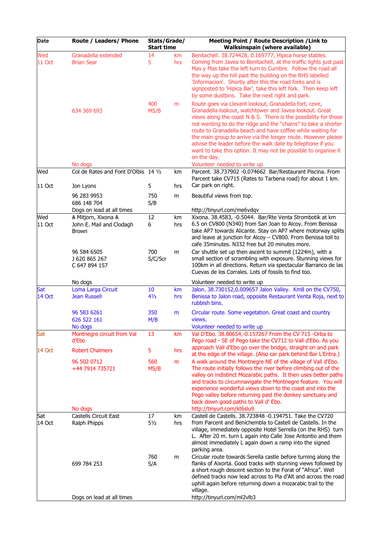| Date                 | Route / Leaders/ Phone                                          | Stats/Grade/<br><b>Start time</b> |            | Meeting Point / Route Description / Link to<br><b>Walksinspain (where available)</b>                                                                                                                                                                                                                                                                                                                                                                                                                                                                                   |  |
|----------------------|-----------------------------------------------------------------|-----------------------------------|------------|------------------------------------------------------------------------------------------------------------------------------------------------------------------------------------------------------------------------------------------------------------------------------------------------------------------------------------------------------------------------------------------------------------------------------------------------------------------------------------------------------------------------------------------------------------------------|--|
| Wed<br>11 Oct        | Granadella extended<br><b>Brian Sear</b>                        | 14<br>5<br>400                    | km.<br>hrs | Benitachell. 38.724428, 0.169777, Hipica horse stables.<br>Coming from Javea to Benitachell, at the traffic lights just past<br>Mas y Mas take the left turn to Cumbre. Follow the road all<br>the way up the hill past the building on the RHS labelled<br>'Informacion'. Shortly after this the road forks and is<br>signposted to 'Hipica Bar', take this left fork. Then keep left<br>by some dustbins. Take the next right and park.                                                                                                                              |  |
|                      | 634 369 693<br>No dogs                                          | MS/B                              | m          | Route goes via Llevant lookout, Granadella fort, cove,<br>Granadella lookout, watchtower and Javea lookout. Great<br>views along the coast N & S. There is the possibility for those<br>not wanting to do the ridge and the "chains" to take a shorter<br>route to Granadella beach and have coffee while waiting for<br>the main group to arrive via the longer route. However please<br>advise the leader before the walk date by telephone if you<br>want to take this option. It may not be possible to organise it<br>on the day.<br>Volunteer needed to write up |  |
| Wed                  | Col de Rates and Font D'Olbis 14 1/2                            |                                   | km         | Parcent. 38.737902 -0.074662 Bar/Restaurant Piscina. From<br>Parcent take CV715 (Rates to Tarbena road) for about 1 km.                                                                                                                                                                                                                                                                                                                                                                                                                                                |  |
| 11 Oct               | Jon Lyons                                                       | 5                                 | hrs        | Car park on right.                                                                                                                                                                                                                                                                                                                                                                                                                                                                                                                                                     |  |
|                      | 96 283 9953<br>686 148 704                                      | 750<br>S/B                        | m          | Beautiful views from top.                                                                                                                                                                                                                                                                                                                                                                                                                                                                                                                                              |  |
|                      | Dogs on lead at all times                                       |                                   |            | http://tinyurl.com/me6vdqv                                                                                                                                                                                                                                                                                                                                                                                                                                                                                                                                             |  |
| Wed<br>11 Oct        | A Mitjorn, Xixona A<br>John E. Mail and Clodagh<br><b>Brown</b> | 12<br>6                           | km<br>hrs  | Xixona. 38.4583, -0.5044. Bar/Rte Venta Strombotik at km<br>6.5 on CV800 (N340) from San Joan to Alcoy. From Benissa<br>take AP7 towards Alicante. Stay on AP7 where motorway splits<br>and leave at junction for Alcoy - CV800. From Benissa toll to<br>cafe 35 minutes. N332 free but 20 minutes more.                                                                                                                                                                                                                                                               |  |
|                      | 96 584 6505<br>J 620 865 267<br>C 647 894 157                   | 700<br>S/C/Scr                    | m          | Car shuttle set up then ascent to summit (1224m), with a<br>small section of scrambling with exposure. Stunning views for<br>100km in all directions. Return via spectacular Barranco de las<br>Cuevas de los Corrales. Lots of fossils to find too.                                                                                                                                                                                                                                                                                                                   |  |
|                      | No dogs                                                         |                                   |            | Volunteer needed to write up                                                                                                                                                                                                                                                                                                                                                                                                                                                                                                                                           |  |
| Sat<br><b>14 Oct</b> | Loma Larga Circuit<br><b>Jean Russell</b>                       | 10<br>41/2                        | km<br>hrs  | Jalon. 38.730152,0.009657 Jalon Valley. Km8 on the CV750,<br>Benissa to Jalon road, opposite Restaurant Venta Roja, next to<br>rubbish bins.                                                                                                                                                                                                                                                                                                                                                                                                                           |  |
|                      | 96 583 6261<br>626 522 161<br>No dogs                           | 350<br>M/B                        | m          | Circular route. Some vegetation. Great coast and country<br>views.<br>Volunteer needed to write up                                                                                                                                                                                                                                                                                                                                                                                                                                                                     |  |
| Sat                  | Montnegre circuit from Val<br>d'Ebo                             | 13                                | km         | Val D'Ebo. 38.80654,-0.157267 From the CV 715 -Orba to<br>Pego road - SE of Pego take the CV712 to Vall d'Ebo. As you                                                                                                                                                                                                                                                                                                                                                                                                                                                  |  |
| <b>14 Oct</b>        | <b>Robert Chalmers</b>                                          | 5                                 | hrs        | approach Vall d'Ebo go over the bridge, straight on and park<br>at the edge of the village. (Also car park behind Bar L'Entra.)                                                                                                                                                                                                                                                                                                                                                                                                                                        |  |
|                      | 96 502 0712<br>+44 7914 735721<br>No dogs                       | 560<br>MS/B                       | m          | A walk around the Montnegre NE of the village of Vall d'Ebo.<br>The route initially follows the river before climbing out of the<br>valley on indistinct Mozarabic paths. It then uses better paths<br>and tracks to circumnavigate the Montnegre feature. You will<br>experience wonderful views down to the coast and into the<br>Pego valley before returning past the donkey sanctuary and<br>back down good paths to Vall d' Ebo.<br>http://tinyurl.com/kt6slu9                                                                                                   |  |
| Sat                  | Castells Circuit East                                           | 17                                | km         | Castell de Castells. 38.723848 -0.194751. Take the CV720                                                                                                                                                                                                                                                                                                                                                                                                                                                                                                               |  |
| 14 Oct               | Ralph Phipps                                                    | $5\frac{1}{2}$                    | hrs        | from Parcent and Benichembla to Castell de Castells. In the<br>village, immediately opposite Hotel Serrella (on the RHS) turn<br>L. After 20 m. turn L again into Calle Jose Antontio and them<br>almost immediately L again down a ramp into the signed<br>parking area.                                                                                                                                                                                                                                                                                              |  |
|                      | 699 784 253                                                     | 760<br>S/A                        | m          | Circular route towards Serella castle before turning along the<br>flanks of Aixorta. Good tracks with stunning views followed by<br>a short rough descent section to the Forat of "Africa". Well<br>defined tracks now lead across to Pla d'Alt and across the road<br>uphill again before returning down a mozarabic trail to the<br>village.                                                                                                                                                                                                                         |  |
|                      | Dogs on lead at all times                                       |                                   |            | http://tinyurl.com/ml2vlb3                                                                                                                                                                                                                                                                                                                                                                                                                                                                                                                                             |  |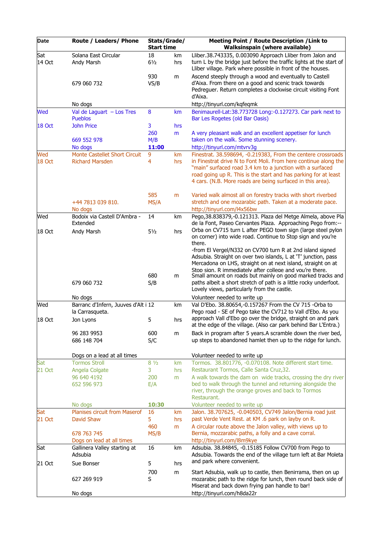| Date   | Route / Leaders/ Phone                         | Stats/Grade/<br><b>Start time</b> |     | <b>Meeting Point / Route Description / Link to</b><br><b>Walksinspain (where available)</b>                                                                                                                                                                                                                                                                                                |
|--------|------------------------------------------------|-----------------------------------|-----|--------------------------------------------------------------------------------------------------------------------------------------------------------------------------------------------------------------------------------------------------------------------------------------------------------------------------------------------------------------------------------------------|
| Sat    | Solana East Circular                           | 18                                | km  | Lliber.38.743335, 0.003090 Approach Lliber from Jalon and                                                                                                                                                                                                                                                                                                                                  |
| 14 Oct | Andy Marsh                                     | $6\frac{1}{2}$                    | hrs | turn L by the bridge just before the traffic lights at the start of<br>Lliber village. Park where possible in front of the houses.                                                                                                                                                                                                                                                         |
|        |                                                | 930                               | m   | Ascend steeply through a wood and eventually to Castell                                                                                                                                                                                                                                                                                                                                    |
|        | 679 060 732                                    | VS/B                              |     | d'Aixa. From there on a good and scenic track towards<br>Pedreguer. Return completes a clockwise circuit visiting Font<br>d'Aixa.                                                                                                                                                                                                                                                          |
|        | No dogs                                        |                                   |     | http://tinyurl.com/kqfeqmk                                                                                                                                                                                                                                                                                                                                                                 |
| Wed    | Val de Laguart $-$ Los Tres<br><b>Pueblos</b>  | 8                                 | km  | Benimaurell-Lat:38.773728 Long:-0.127273. Car park next to<br>Bar Les Rogetes (old Bar Oasis)                                                                                                                                                                                                                                                                                              |
| 18 Oct | <b>John Price</b>                              | 3                                 | hrs |                                                                                                                                                                                                                                                                                                                                                                                            |
|        |                                                | 260                               | m   | A very pleasant walk and an excellent appetiser for lunch                                                                                                                                                                                                                                                                                                                                  |
|        | 669 552 978<br>No dogs                         | M/B<br>11:00                      |     | taken on the walk. Some stunning scenery.<br>http://tinyurl.com/mtvrv3g                                                                                                                                                                                                                                                                                                                    |
| Wed    | <b>Monte Castellet Short Circuit</b>           | 9                                 | km  | Finestrat. 38.598694, -0.219383, From the centere crossroads                                                                                                                                                                                                                                                                                                                               |
| 18 Oct | <b>Richard Marsden</b>                         | 4                                 | hrs | in Finestrat drive N to Font Moli. From here continue along the<br>"main" surfaced road 3.4 km to a junction with a surfaced<br>road going up R. This is the start and has parking for at least<br>4 cars. (N.B. More roads are being surfaced in this area).                                                                                                                              |
|        | +44 7813 039 810.                              | 585<br>MS/A                       | m   | Varied walk almost all on forestry tracks with short riverbed<br>stretch and one mozarabic path. Taken at a moderate pace.                                                                                                                                                                                                                                                                 |
|        | No dogs                                        |                                   |     | http://tinyurl.com/l4x56bw                                                                                                                                                                                                                                                                                                                                                                 |
| Wed    | Bodoix via Castell D'Ambra -<br>Extended       | 14                                | km  | Pego, 38.838379, -0.121313. Plaza del Metge Almela, above Pla<br>de la Font, Paseo Cervantes Plaza. Approaching Pego from:--                                                                                                                                                                                                                                                               |
| 18 Oct | Andy Marsh                                     | $5\frac{1}{2}$                    | hrs | Orba on CV715 turn L after PEGO town sign (large steel pylon<br>on corner) into wide road. Continue to Stop sign and you're<br>there.                                                                                                                                                                                                                                                      |
|        | 679 060 732                                    | 680<br>S/B                        | m   | -from El Vergel/N332 on CV700 turn R at 2nd island signed<br>Adsubia. Straight on over two islands, L at 'T' junction, pass<br>Mercadona on LHS, straight on at next island, straight on at<br>Stop sign. R immediately after college and you're there.<br>Small amount on roads but mainly on good marked tracks and<br>paths albeit a short stretch of path is a little rocky underfoot. |
|        |                                                |                                   |     | Lovely views, particularly from the castle.                                                                                                                                                                                                                                                                                                                                                |
|        | No dogs<br>Barranc d'Infern, Juuves d'Alt i 12 |                                   |     | Volunteer needed to write up                                                                                                                                                                                                                                                                                                                                                               |
| Wed    | la Carrasqueta.                                |                                   | km  | Val D'Ebo. 38.80654,-0.157267 From the CV 715 -Orba to<br>Pego road - SE of Pego take the CV712 to Vall d'Ebo. As you<br>approach Vall d'Ebo go over the bridge, straight on and park                                                                                                                                                                                                      |
| 18 Oct | Jon Lyons                                      | 5                                 | hrs | at the edge of the village. (Also car park behind Bar L'Entra.)                                                                                                                                                                                                                                                                                                                            |
|        | 96 283 9953<br>686 148 704                     | 600<br>S/C                        | m   | Back in program after 5 years.A scramble down the river bed,<br>up steps to abandoned hamlet then up to the ridge for lunch.                                                                                                                                                                                                                                                               |
|        | Dogs on a lead at all times                    |                                   |     | Volunteer needed to write up                                                                                                                                                                                                                                                                                                                                                               |
| Sat    | <b>Tormos Stroll</b>                           | $8\frac{1}{2}$                    | km  | Tormos. 38.801776, -0.070108. Note different start time.                                                                                                                                                                                                                                                                                                                                   |
| 21 Oct | Angela Colgate                                 | 3                                 | hrs | Restaurant Tormos, Calle Santa Cruz, 32.                                                                                                                                                                                                                                                                                                                                                   |
|        | 96 640 4192<br>652 596 973                     | 200<br>E/A                        | m   | A walk towards the dam on wide tracks, crossing the dry river<br>bed to walk through the tunnel and returning alongside the<br>river, through the orange groves and back to Tormos<br>Restaurant.                                                                                                                                                                                          |
|        | No dogs                                        | 10:30                             |     | Volunteer needed to write up                                                                                                                                                                                                                                                                                                                                                               |
| Sat    | Planises circuit from Maserof                  | 16                                | km  | Jalon. 38.707625, -0.040503, CV749 Jalon/Bernia road just                                                                                                                                                                                                                                                                                                                                  |
| 21 Oct | David Shaw                                     | 5.                                | hrs | past Verde Vent Rest. at KM .6 park on layby on R.                                                                                                                                                                                                                                                                                                                                         |
|        | 678 763 745                                    | 460<br>MS/B                       | m   | A circular route above the Jalon valley, with views up to<br>Bernia, mozzarabic paths, a folly and a cave corral.                                                                                                                                                                                                                                                                          |
|        | Dogs on lead at all times                      |                                   |     | http://tinyurl.com/l8m9kye                                                                                                                                                                                                                                                                                                                                                                 |
| Sat    | Gallinera Valley starting at<br>Adsubia        | 16                                | km  | Adsubia. 38.84845, -0.15185 Follow CV700 from Pego to<br>Adsubia. Towards the end of the village turn left at Bar Moleta<br>and park where convenient.                                                                                                                                                                                                                                     |
| 21 Oct | Sue Bonser                                     | 5                                 | hrs |                                                                                                                                                                                                                                                                                                                                                                                            |
|        | 627 269 919                                    | 700<br>S                          | m   | Start Adsubia, walk up to castle, then Benirrama, then on up<br>mozarabic path to the ridge for lunch, then round back side of<br>Miserat and back down frying pan handle to bar!                                                                                                                                                                                                          |
|        | No dogs                                        |                                   |     | http://tinyurl.com/h8da22r                                                                                                                                                                                                                                                                                                                                                                 |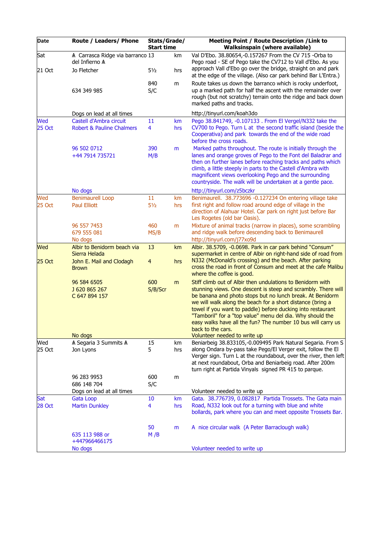| Date                 | Route / Leaders/ Phone                                            | Stats/Grade/<br><b>Start time</b> |           | Meeting Point / Route Description / Link to<br><b>Walksinspain (where available)</b>                                                                                                                                                                                                                                                                                                                                                                                    |
|----------------------|-------------------------------------------------------------------|-----------------------------------|-----------|-------------------------------------------------------------------------------------------------------------------------------------------------------------------------------------------------------------------------------------------------------------------------------------------------------------------------------------------------------------------------------------------------------------------------------------------------------------------------|
| Sat<br>21 Oct        | A Carrasca Ridge via barranco 13<br>del Infierno A<br>Jo Fletcher | $5\frac{1}{2}$                    | km<br>hrs | Val D'Ebo. 38.80654,-0.157267 From the CV 715 -Orba to<br>Pego road - SE of Pego take the CV712 to Vall d'Ebo. As you<br>approach Vall d'Ebo go over the bridge, straight on and park<br>at the edge of the village. (Also car park behind Bar L'Entra.)                                                                                                                                                                                                                |
|                      | 634 349 985                                                       | 840<br>S/C                        | m         | Route takes us down the barranco which is rocky underfoot,<br>up a marked path for half the ascent with the remainder over<br>rough (but not scratchy) terrain onto the ridge and back down<br>marked paths and tracks.                                                                                                                                                                                                                                                 |
|                      | Dogs on lead at all times                                         |                                   |           | http://tinyurl.com/koah3do                                                                                                                                                                                                                                                                                                                                                                                                                                              |
| Wed<br><b>25 Oct</b> | Castell d'Ambra circuit<br><b>Robert &amp; Pauline Chalmers</b>   | 11<br>4                           | km<br>hrs | Pego 38.841749, -0.107133. From El Vergel/N332 take the<br>CV700 to Pego. Turn L at the second traffic island (beside the<br>Cooperativa) and park towards the end of the wide road<br>before the cross roads.                                                                                                                                                                                                                                                          |
|                      | 96 502 0712<br>+44 7914 735721                                    | 390<br>M/B                        | m         | Marked paths throughout. The route is initially through the<br>lanes and orange groves of Pego to the Font del Baladrar and<br>then on further lanes before reaching tracks and paths which<br>climb, a little steeply in parts to the Castell d'Ambra with<br>magnificent views overlooking Pego and the surrounding<br>countryside. The walk will be undertaken at a gentle pace.                                                                                     |
|                      | No dogs                                                           |                                   |           | http://tinyurl.com/z5bczkr                                                                                                                                                                                                                                                                                                                                                                                                                                              |
| Wed<br><b>25 Oct</b> | <b>Benimaurell Loop</b><br><b>Paul Elliott</b>                    | 11<br>$5\frac{1}{2}$              | km<br>hrs | Benimaurell. 38.773696 -0.127234 On entering village take<br>first right and follow road around edge of village in the<br>direction of Alahuar Hotel. Car park on right just before Bar<br>Les Rogetes (old bar Oasis).                                                                                                                                                                                                                                                 |
|                      | 96 557 7453<br>679 555 081<br>No dogs                             | 460<br>MS/B                       | m         | Mixture of animal tracks (narrow in places), some scrambling<br>and ridge walk before descending back to Benimaurell<br>http://tinyurl.com/j77xo9d                                                                                                                                                                                                                                                                                                                      |
| Wed                  | Albir to Benidorm beach via<br>Sierra Helada                      | 13                                | km        | Albir. 38.5709, -0.0698. Park in car park behind "Consum"<br>supermarket in centre of Albir on right-hand side of road from                                                                                                                                                                                                                                                                                                                                             |
| $25$ Oct             | John E. Mail and Clodagh<br><b>Brown</b>                          | $\overline{4}$                    | hrs       | N332 (McDonald's crossing) and the beach. After parking<br>cross the road in front of Consum and meet at the cafe Malibu<br>where the coffee is good.                                                                                                                                                                                                                                                                                                                   |
|                      | 96 584 6505<br>J 620 865 267<br>C 647 894 157                     | 600<br>S/B/Scr                    | m         | Stiff climb out of Albir then undulations to Benidorm with<br>stunning views. One descent is steep and scrambly. There will<br>be banana and photo stops but no lunch break. At Benidorm<br>we will walk along the beach for a short distance (bring a<br>towel if you want to paddle) before ducking into restaurant<br>"Tamboril" for a "top value" menu del dia. Why should the<br>easy walks have all the fun? The number 10 bus will carry us<br>back to the cars. |
| Wed                  | No dogs<br>A Segaria 3 Summits A                                  | 15                                | km        | Volunteer needed to write up<br>Beniarbeig 38.833105,-0.009495 Park Natural Segaria. From S                                                                                                                                                                                                                                                                                                                                                                             |
| 25 Oct               | Jon Lyons                                                         | 5                                 | hrs       | along Ondara by-pass take Pego/El Verger exit, follow the El<br>Verger sign. Turn L at the roundabout, over the river, then left<br>at next roundabout, Orba and Beniarbeig road. After 200m<br>turn right at Partida Vinyals signed PR 415 to parque.                                                                                                                                                                                                                  |
|                      | 96 283 9953                                                       | 600                               | m         |                                                                                                                                                                                                                                                                                                                                                                                                                                                                         |
|                      | 686 148 704                                                       | S/C                               |           |                                                                                                                                                                                                                                                                                                                                                                                                                                                                         |
| Sat                  | Dogs on lead at all times<br>Gata Loop                            | 10                                | km        | Volunteer needed to write up<br>Gata. 38.776739, 0.082817 Partida Trossets. The Gata main                                                                                                                                                                                                                                                                                                                                                                               |
| <b>28 Oct</b>        | <b>Martin Dunkley</b>                                             | 4                                 | hrs       | Road, N332 look out for a turning with blue and white<br>bollards, park where you can and meet opposite Trossets Bar.                                                                                                                                                                                                                                                                                                                                                   |
|                      | 635 113 988 or<br>+447966466175                                   | 50<br>M/B                         | m         | A nice circular walk (A Peter Barraclough walk)                                                                                                                                                                                                                                                                                                                                                                                                                         |
|                      | No dogs                                                           |                                   |           | Volunteer needed to write up                                                                                                                                                                                                                                                                                                                                                                                                                                            |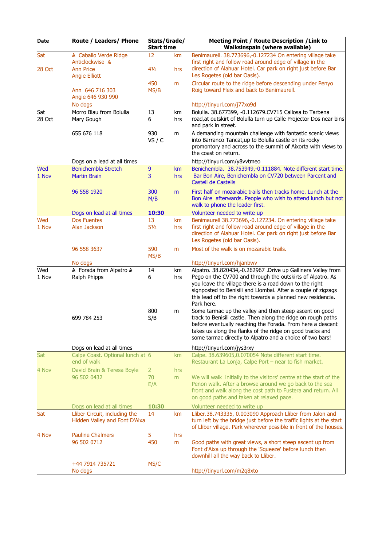| Date          | Route / Leaders/ Phone                                         | Stats/Grade/<br><b>Start time</b> |           | Meeting Point / Route Description / Link to<br><b>Walksinspain (where available)</b>                                                                                                                                                                                                                                                 |
|---------------|----------------------------------------------------------------|-----------------------------------|-----------|--------------------------------------------------------------------------------------------------------------------------------------------------------------------------------------------------------------------------------------------------------------------------------------------------------------------------------------|
| Sat<br>28 Oct | A Caballo Verde Ridge<br>Anticlockwise A<br><b>Ann Price</b>   | 12<br>41/2                        | km<br>hrs | Benimaurell. 38.773696,-0.127234 On entering village take<br>first right and follow road around edge of village in the<br>direction of Alahuar Hotel. Car park on right just before Bar                                                                                                                                              |
|               | <b>Angie Elliott</b><br>Ann 646 716 303<br>Angie 646 930 990   | 450<br>MS/B                       | m         | Les Rogetes (old bar Oasis).<br>Circular route to the ridge before descending under Penyo<br>Roig toward Fleix and back to Benimaurell.                                                                                                                                                                                              |
|               | No dogs                                                        |                                   |           | http://tinyurl.com/j77xo9d                                                                                                                                                                                                                                                                                                           |
| Sat<br>28 Oct | Morro Blau from Bolulla<br>Mary Gough                          | 13<br>6                           | km<br>hrs | Bolulla. 38.677399, -0.112679.CV715 Callosa to Tarbena<br>road, at outskirt of Bolulla turn up Calle Projector Dos near bins<br>and park in street.                                                                                                                                                                                  |
|               | 655 676 118                                                    | 930<br>VS / C                     | m         | A demanding mountain challenge with fantastic scenic views<br>into Barranco Tancat, up to Bolulla castle on its rocky<br>promontory and across to the summit of Aixorta with views to<br>the coast on return.                                                                                                                        |
|               | Dogs on a lead at all times                                    |                                   |           | http://tinyurl.com/y8vvtmeo                                                                                                                                                                                                                                                                                                          |
| Wed<br>1 Nov  | <b>Benichembla Stretch</b><br><b>Martin Brain</b>              | 9<br>3                            | km<br>hrs | Benichembla. 38.753949,-0.111884. Note different start time.<br>Bar Bon Aire, Benichembla on CV720 between Parcent and<br>Castell de Castells                                                                                                                                                                                        |
|               | 96 558 1920                                                    | 300<br>M/B                        | m         | First half on mozarabic trails then tracks home. Lunch at the<br>Bon Aire afterwards. People who wish to attend lunch but not<br>walk to phone the leader first.                                                                                                                                                                     |
|               | Dogs on lead at all times                                      | 10:30                             |           | Volunteer needed to write up                                                                                                                                                                                                                                                                                                         |
| Wed<br>1 Nov  | <b>Dos Fuentes</b><br>Alan Jackson                             | 13<br>$5\frac{1}{2}$              | km<br>hrs | Benimaurell 38.773696,-0.127234. On entering village take<br>first right and follow road around edge of village in the<br>direction of Alahuar Hotel. Car park on right just before Bar<br>Les Rogetes (old bar Oasis).                                                                                                              |
|               | 96 558 3637                                                    | 590<br>MS/B                       | m         | Most of the walk is on mozarabic trails.                                                                                                                                                                                                                                                                                             |
|               | No dogs                                                        |                                   |           | http://tinyurl.com/hjanbwv                                                                                                                                                                                                                                                                                                           |
| Wed<br>1 Nov  | A Forada from Alpatro A<br>Ralph Phipps                        | 14<br>6                           | km<br>hrs | Alpatro. 38.820434,-0.262967 .Drive up Gallinera Valley from<br>Pego on the CV700 and through the outskirts of Alpatro. As<br>you leave the village there is a road down to the right<br>signposted to Benisili and Llombai. After a couple of zigzags<br>this lead off to the right towards a planned new residencia.<br>Park here. |
|               | 699 784 253                                                    | 800<br>S/B                        | m         | Some tarmac up the valley and then steep ascent on good<br>track to Benisili castle. Then along the ridge on rough paths<br>before eventually reaching the Forada. From here a descent<br>takes us along the flanks of the ridge on good tracks and<br>some tarmac directly to Alpatro and a choice of two bars!                     |
|               | Dogs on lead at all times                                      |                                   |           | http://tinyurl.com/jys3rxy                                                                                                                                                                                                                                                                                                           |
| <b>Sat</b>    | Calpe Coast. Optional lunch at 6<br>end of walk                |                                   | <b>km</b> | Calpe. 38.639605,0.070054 Note different start time.<br>Restaurant La Lonja, Calpe Port - near to fish market.                                                                                                                                                                                                                       |
| 4 Nov         | David Brain & Teresa Boyle<br>96 502 0432                      | $\overline{2}$<br>70<br>E/A       | hrs<br>m  | We will walk initially to the visitors' centre at the start of the<br>Penon walk. After a browse around we go back to the sea<br>front and walk along the cost path to Fustera and return. All<br>on good paths and taken at relaxed pace.                                                                                           |
|               | Dogs on lead at all times                                      | 10:30                             |           | Volunteer needed to write up                                                                                                                                                                                                                                                                                                         |
| Sat           | Lliber Circuit, including the<br>Hidden Valley and Font D'Aixa | 14                                | km        | Lliber.38.743335, 0.003090 Approach Lliber from Jalon and<br>turn left by the bridge just before the traffic lights at the start<br>of Lliber village. Park wherever possible in front of the houses.                                                                                                                                |
| 4 Nov         | <b>Pauline Chalmers</b><br>96 502 0712                         | 5<br>450                          | hrs<br>m  | Good paths with great views, a short steep ascent up from<br>Font d'Aixa up through the 'Squeeze' before lunch then<br>downhill all the way back to Lliber.                                                                                                                                                                          |
|               | +44 7914 735721<br>No dogs                                     | MS/C                              |           | http://tinyurl.com/m2q8xto                                                                                                                                                                                                                                                                                                           |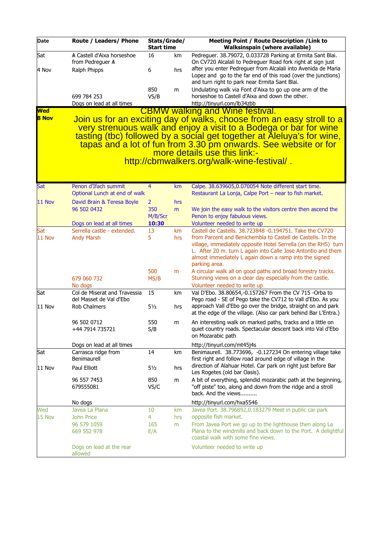| Date                | Route / Leaders/ Phone                                             | Stats/Grade/<br><b>Start time</b> |           | Meeting Point / Route Description / Link to<br><b>Walksinspain (where available)</b>                                                                                                                                                                                                                                                                                                                            |
|---------------------|--------------------------------------------------------------------|-----------------------------------|-----------|-----------------------------------------------------------------------------------------------------------------------------------------------------------------------------------------------------------------------------------------------------------------------------------------------------------------------------------------------------------------------------------------------------------------|
| Sat                 | A Castell d'Aixa horseshoe<br>from Pedreguer A                     | 16                                | km        | Pedreguer. 38.79072, 0.033728 Parking at Ermita Sant Blai.<br>On CV720 Alcalali to Pedreguer Road fork right at sign just                                                                                                                                                                                                                                                                                       |
| 4 Nov               | Ralph Phipps                                                       | 6                                 | hrs       | after you enter Pedreguer from Alcalali into Avenida de Maria<br>Lopez and go to the far end of this road (over the junctions)<br>and turn right to park near Ermita Sant Blai.                                                                                                                                                                                                                                 |
|                     | 699 784 253                                                        | 850<br>VS/B                       | m         | Undulating walk via Font d'Aixa to go up one arm of the<br>horseshoe to Castell d'Aixa and down the other.                                                                                                                                                                                                                                                                                                      |
|                     | Dogs on lead at all times                                          |                                   |           | http://tinyurl.com/lb34zbb                                                                                                                                                                                                                                                                                                                                                                                      |
| <b>Wed</b><br>8 Nov |                                                                    |                                   |           | <b>CBMW walking and Wine festival.</b><br>Join us for an exciting day of walks, choose from an easy stroll to a<br>very strenuous walk and enjoy a visit to a Bodega or bar for wine<br>tasting (tbc) followed by a social get together at Aleluya's for wine,<br>tapas and a lot of fun from 3.30 pm onwards. See website or for<br>more details use this link:-<br>http://cbmwalkers.org/walk-wine-festival/. |
|                     |                                                                    |                                   |           |                                                                                                                                                                                                                                                                                                                                                                                                                 |
| Sat                 | Penon d'Ifach summit<br>Optional Lunch at end of walk              | $\overline{4}$                    | km        | Calpe. 38.639605,0.070054 Note different start time.<br>Restaurant La Lonja, Calpe Port - near to fish market.                                                                                                                                                                                                                                                                                                  |
| 11 Nov              | David Brain & Teresa Boyle                                         | $\overline{2}$                    | hrs       |                                                                                                                                                                                                                                                                                                                                                                                                                 |
|                     | 96 502 0432                                                        | 350<br>M/B/Scr                    | m         | We join the easy walk to the visitors centre then ascend the<br>Penon to enjoy fabulous views.                                                                                                                                                                                                                                                                                                                  |
| Sat                 | Dogs on lead at all times<br>Serrella castle - extended.           | 10:30<br>13                       | km        | Volunteer needed to write up<br>Castell de Castells. 38.723848 -0.194751. Take the CV720                                                                                                                                                                                                                                                                                                                        |
| 11 Nov              | <b>Andy Marsh</b>                                                  | 5                                 | hrs       | from Parcent and Benichembla to Castell de Castells. In the<br>village, immediately opposite Hotel Serrella (on the RHS) turn<br>L. After 20 m. turn L again into Calle Jose Antontio and them<br>almost immediately L again down a ramp into the signed<br>parking area.                                                                                                                                       |
|                     | 679 060 732                                                        | 500<br>MS/B                       | m         | A circular walk all on good paths and broad forestry tracks.<br>Stunning views on a clear day especially from the castle.                                                                                                                                                                                                                                                                                       |
| Sat                 | No dogs<br>Col de Miserat and Travessia<br>del Masset de Val d'Ebo | 15                                | km        | Volunteer needed to write up<br>Val D'Ebo. 38.80654,-0.157267 From the CV 715 -Orba to<br>Pego road - SE of Pego take the CV712 to Vall d'Ebo. As you                                                                                                                                                                                                                                                           |
| 11 Nov              | Rob Chalmers                                                       | $5\frac{1}{2}$                    | hrs       | approach Vall d'Ebo go over the bridge, straight on and park<br>at the edge of the village. (Also car park behind Bar L'Entra.)                                                                                                                                                                                                                                                                                 |
|                     | 96 502 0712<br>+44 7914 735721                                     | 550<br>S/B                        | m         | An interesting walk on marked paths, tracks and a little on<br>quiet country roads. Spectacular descent back into Val d'Ebo<br>on Mozarabic path                                                                                                                                                                                                                                                                |
|                     | Dogs on lead at all times                                          |                                   |           | http://tinyurl.com/mt45j4s                                                                                                                                                                                                                                                                                                                                                                                      |
| Sat                 | Carrasca ridge from<br>Benimaurell                                 | 14                                | km        | Benimaurell. 38.773696, -0.127234 On entering village take<br>first right and follow road around edge of village in the                                                                                                                                                                                                                                                                                         |
| 11 Nov              | Paul Elliott                                                       | $5\frac{1}{2}$                    | hrs       | direction of Alahuar Hotel. Car park on right just before Bar<br>Les Rogetes (old bar Oasis).                                                                                                                                                                                                                                                                                                                   |
|                     | 96 557 7453<br>679555081                                           | 850<br>VS/C                       | m         | A bit of everything, splendid mozarabic path at the beginning,<br>"off piste" too, along and down from the ridge and a stroll<br>back. And the views                                                                                                                                                                                                                                                            |
|                     | No dogs                                                            |                                   |           | http://tinyurl.com/hxa5546                                                                                                                                                                                                                                                                                                                                                                                      |
| Wed<br>15 Nov       | Javea La Plana<br>John Price                                       | 10<br>$\overline{4}$              | km<br>hrs | Javea Port. 38.796892,0.183279 Meet in public car park<br>opposite fish market.                                                                                                                                                                                                                                                                                                                                 |
|                     | 96 579 1059<br>669 552 978                                         | 165<br>E/A                        | m         | From Javea Port we go up to the lighthouse then along La<br>Plana to the windmills and back down to the Port. A delightful<br>coastal walk with some fine views.                                                                                                                                                                                                                                                |
|                     | Dogs on lead at the rear<br>allowed                                |                                   |           | Volunteer needed to write up                                                                                                                                                                                                                                                                                                                                                                                    |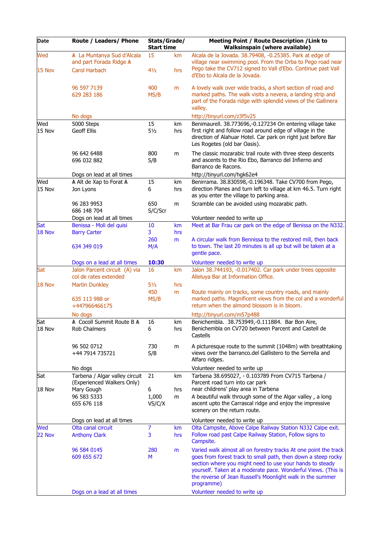| Date          | Route / Leaders/ Phone                                                                | Stats/Grade/<br><b>Start time</b> |           | <b>Meeting Point / Route Description / Link to</b><br><b>Walksinspain (where available)</b>                                                                                                                                                                                                                                                |  |  |
|---------------|---------------------------------------------------------------------------------------|-----------------------------------|-----------|--------------------------------------------------------------------------------------------------------------------------------------------------------------------------------------------------------------------------------------------------------------------------------------------------------------------------------------------|--|--|
| Wed<br>15 Nov | A La Muntanya Sud d'Alcala<br>and part Forada Ridge A<br>Carol Harbach                | 15<br>41/2                        | km<br>hrs | Alcala de la Jovada. 38.79408, -0.25385. Park at edge of<br>village near swimming pool. From the Orba to Pego road near<br>Pego take the CV712 signed to Vall d'Ebo. Continue past Vall<br>d'Ebo to Alcala de la Jovada.                                                                                                                   |  |  |
|               | 96 597 7139<br>629 283 186                                                            | 400<br>MS/B                       | m         | A lovely walk over wide tracks, a short section of road and<br>marked paths. The walk visits a nevera, a landing strip and<br>part of the Forada ridge with splendid views of the Gallinera<br>valley.                                                                                                                                     |  |  |
|               | No dogs                                                                               |                                   |           | http://tinyurl.com/z3f5v25                                                                                                                                                                                                                                                                                                                 |  |  |
| Wed<br>15 Nov | 5000 Steps<br><b>Geoff Ellis</b>                                                      | 15<br>$5\frac{1}{2}$              | km<br>hrs | Benimaurell. 38.773696,-0.127234 On entering village take<br>first right and follow road around edge of village in the<br>direction of Alahuar Hotel. Car park on right just before Bar<br>Les Rogetes (old bar Oasis).                                                                                                                    |  |  |
|               | 96 642 6488<br>696 032 882                                                            | 800<br>S/B                        | m         | The classic mozarabic trail route with three steep descents<br>and ascents to the Rio Ebo, Barranco del Infierno and<br>Barranco de Racons.                                                                                                                                                                                                |  |  |
|               | Dogs on lead at all times                                                             |                                   |           | http://tinyurl.com/hgk62e4                                                                                                                                                                                                                                                                                                                 |  |  |
| Wed<br>15 Nov | A Alt de Xap to Forat A<br>Jon Lyons                                                  | 15<br>6                           | km<br>hrs | Benirrama. 38.830598,-0.196348. Take CV700 from Pego,<br>direction Planes and turn left to village at km 46.5. Turn right<br>as you enter the village to parking area.                                                                                                                                                                     |  |  |
|               | 96 283 9953<br>686 148 704                                                            | 650<br>S/C/Scr                    | m         | Scramble can be avoided using mozarabic path.                                                                                                                                                                                                                                                                                              |  |  |
|               | Dogs on lead at all times                                                             |                                   |           | Volunteer needed to write up                                                                                                                                                                                                                                                                                                               |  |  |
| Sat           | Benissa - Moli del quisi                                                              | 10                                | km        | Meet at Bar Frau car park on the edge of Benissa on the N332.                                                                                                                                                                                                                                                                              |  |  |
| 18 Nov        | <b>Barry Carter</b><br>634 349 019                                                    | 3<br>260<br>M/A                   | hrs<br>m  | A circular walk from Bennissa to the restored mill, then back<br>to town. The last 20 minutes is all up but will be taken at a                                                                                                                                                                                                             |  |  |
|               |                                                                                       |                                   |           | gentle pace.                                                                                                                                                                                                                                                                                                                               |  |  |
| Sat           | Dogs on a lead at all times<br>Jalon Parcent circuit (A) via<br>col de rates extended | 10:30<br>16                       | km        | Volunteer needed to write up<br>Jalon 38.744193, -0.017402. Car park under trees opposite<br>Alleluya Bar at Information Office.                                                                                                                                                                                                           |  |  |
| 18 Nov        | <b>Martin Dunkley</b>                                                                 | $5\frac{1}{2}$                    | hrs       |                                                                                                                                                                                                                                                                                                                                            |  |  |
|               | 635 113 988 or<br>+447966466175                                                       | 450<br>MS/B                       | m         | Route mainly on tracks, some country roads, and mainly<br>marked paths. Magnificent views from the col and a wonderful<br>return when the almond blossom is in bloom.                                                                                                                                                                      |  |  |
|               | No dogs                                                                               |                                   |           | http://tinyurl.com/m57p488                                                                                                                                                                                                                                                                                                                 |  |  |
| Sat<br>18 Nov | A Cocoll Summit Route B A<br>Rob Chalmers                                             | 16<br>6                           | km<br>hrs | Benichembla. 38.753949,-0.111884. Bar Bon Aire,<br>Benichembla on CV720 between Parcent and Castell de<br>Castells                                                                                                                                                                                                                         |  |  |
|               | 96 502 0712<br>+44 7914 735721                                                        | 730<br>S/B                        | m         | A picturesque route to the summit (1048m) with breathtaking<br>views over the barranco.del Gallistero to the Serrella and<br>Alfaro ridges.                                                                                                                                                                                                |  |  |
|               | No dogs                                                                               |                                   |           | Volunteer needed to write up                                                                                                                                                                                                                                                                                                               |  |  |
| Sat           | Tarbena / Algar valley circuit<br>(Experienced Walkers Only)                          | 21                                | km        | Tarbena 38.695027, - 0.103789 From CV715 Tarbena /<br>Parcent road turn into car park                                                                                                                                                                                                                                                      |  |  |
| 18 Nov        | Mary Gough                                                                            | 6                                 | hrs       | near childrens' play area in Tarbena                                                                                                                                                                                                                                                                                                       |  |  |
|               | 96 583 5333<br>655 676 118                                                            | 1,000<br>VS/C/X                   | m         | A beautiful walk through some of the Algar valley, a long<br>ascent upto the Carrascal ridge and enjoy the impressive<br>scenery on the return route.                                                                                                                                                                                      |  |  |
|               | Dogs on lead at all times                                                             |                                   |           | Volunteer needed to write up                                                                                                                                                                                                                                                                                                               |  |  |
| Wed           | Olta canal circuit                                                                    | $\overline{7}$                    | km        | Olta Campsite, Above Calpe Railway Station N332 Calpe exit.                                                                                                                                                                                                                                                                                |  |  |
| 22 Nov        | <b>Anthony Clark</b>                                                                  | 3                                 | hrs       | Follow road past Calpe Railway Station, Follow signs to<br>Campsite.                                                                                                                                                                                                                                                                       |  |  |
|               | 96 584 0145<br>609 655 672                                                            | 280<br>М                          | m         | Varied walk almost all on forestry tracks At one point the track<br>goes from forest track to small path, then down a steep rocky<br>section where you might need to use your hands to steady<br>yourself. Taken at a moderate pace. Wonderful Views. (This is<br>the reverse of Jean Russell's Moonlight walk in the summer<br>programme) |  |  |
|               | Dogs on a lead at all times                                                           |                                   |           | Volunteer needed to write up                                                                                                                                                                                                                                                                                                               |  |  |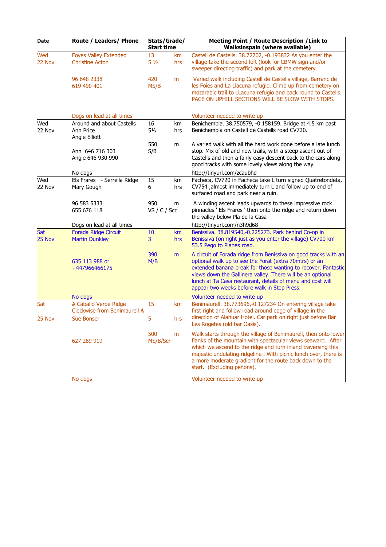| Date          | Route / Leaders/ Phone                                  | Stats/Grade/<br><b>Start time</b> |           | Meeting Point / Route Description / Link to<br><b>Walksinspain (where available)</b>                                                                                                                                                                                                                                                                                  |  |  |
|---------------|---------------------------------------------------------|-----------------------------------|-----------|-----------------------------------------------------------------------------------------------------------------------------------------------------------------------------------------------------------------------------------------------------------------------------------------------------------------------------------------------------------------------|--|--|
| Wed<br>22 Nov | <b>Foyes Valley Extended</b><br><b>Christine Acton</b>  | 13<br>$5\frac{1}{2}$              | km<br>hrs | Castell de Castells. 38.72702, -0.193832 As you enter the<br>village take the second left (look for CBMW sign and/or<br>sweeper directing traffic) and park at the cemetery.                                                                                                                                                                                          |  |  |
|               | 96 648 2338<br>619 490 401                              | 420<br>MS/B                       | m         | Varied walk including Castell de Castells village, Barranc de<br>les Foies and La Llacuna refugio. Climb up from cemetery on<br>mozarabic trail to LLacuna refugio and back round to Castells.<br>PACE ON UPHILL SECTIONS WILL BE SLOW WITH STOPS.                                                                                                                    |  |  |
|               | Dogs on lead at all times                               |                                   |           | Volunteer needed to write up                                                                                                                                                                                                                                                                                                                                          |  |  |
| Wed<br>22 Nov | Around and about Castells<br>Ann Price<br>Angie Elliott | 16<br>$5\frac{1}{2}$              | km<br>hrs | Benichembla. 38.750579, -0.158159. Bridge at 4.5 km past<br>Benichembla on Castell de Castells road CV720.                                                                                                                                                                                                                                                            |  |  |
|               | Ann 646 716 303<br>Angie 646 930 990                    | 550<br>S/B                        | m         | A varied walk with all the hard work done before a late lunch<br>stop. Mix of old and new trails, with a steep ascent out of<br>Castells and then a fairly easy descent back to the cars along<br>good tracks with some lovely views along the way.                                                                                                                   |  |  |
|               | No dogs                                                 |                                   |           | http://tinyurl.com/zcaubhd                                                                                                                                                                                                                                                                                                                                            |  |  |
| Wed<br>22 Nov | Els Frares - Serrella Ridge<br>Mary Gough               | 15<br>6                           | km<br>hrs | Facheca, CV720 in Facheca take L turn signed Quatretondeta,<br>CV754 ,almost immediately turn L and follow up to end of<br>surfaced road and park near a ruin.                                                                                                                                                                                                        |  |  |
|               | 96 583 5333<br>655 676 118                              | 950<br>VS / C / Scr               | m         | A winding ascent leads upwards to these impressive rock<br>pinnacles ' Els Frares ' then onto the ridge and return down<br>the valley below Pla de la Casa                                                                                                                                                                                                            |  |  |
|               | Dogs on lead at all times                               |                                   |           | http://tinyurl.com/n3h9d68                                                                                                                                                                                                                                                                                                                                            |  |  |
| Sat<br>25 Nov | Forada Ridge Circuit<br><b>Martin Dunkley</b>           | 10<br>$\overline{3}$              | km<br>hrs | Benissiva. 38.819540,-0.225273. Park behind Co-op in<br>Benissiva (on right just as you enter the village) CV700 km<br>53.5 Pego to Planes road.                                                                                                                                                                                                                      |  |  |
|               | 635 113 988 or<br>+447966466175                         | 390<br>M/B                        | m         | A circuit of Forada ridge from Benissiva on good tracks with an<br>optional walk up to see the Forat (extra 70mtrs) or an<br>extended banana break for those wanting to recover. Fantastic<br>views down the Gallinera valley. There will be an optional<br>lunch at Ta Casa restaurant, details of menu and cost will<br>appear two weeks before walk in Stop Press. |  |  |
|               | No dogs                                                 |                                   |           | Volunteer needed to write up                                                                                                                                                                                                                                                                                                                                          |  |  |
| Sat           | A Caballo Verde Ridge<br>Clockwise from Benimaurell A   | 15                                | km        | Benimaurell. 38.773696,-0.127234 On entering village take<br>first right and follow road around edge of village in the                                                                                                                                                                                                                                                |  |  |
| 25 Nov        | <b>Sue Bonser</b>                                       | 5                                 | hrs       | direction of Alahuar Hotel. Car park on right just before Bar<br>Les Rogetes (old bar Oasis).                                                                                                                                                                                                                                                                         |  |  |
|               | 627 269 919                                             | 500<br>MS/B/Scr                   | m         | Walk starts through the village of Benimaurell, then onto lower<br>flanks of the mountain with spectacular views seaward. After<br>which we ascend to the ridge and turn inland traversing this<br>majestic undulating ridgeline. With picnic lunch over, there is<br>a more moderate gradient for the route back down to the<br>start. (Excluding peñons).           |  |  |
|               | No dogs                                                 |                                   |           | Volunteer needed to write up                                                                                                                                                                                                                                                                                                                                          |  |  |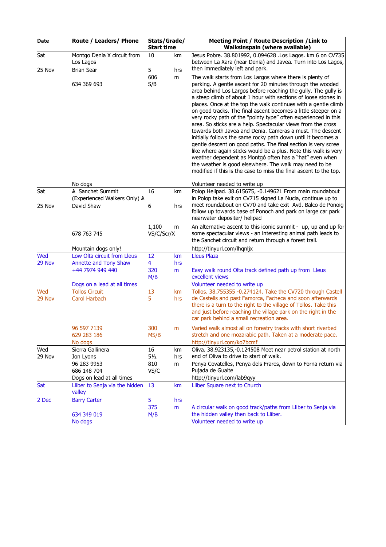| Date          | Route / Leaders/ Phone                                        | Stats/Grade/<br><b>Start time</b> |           | <b>Meeting Point / Route Description / Link to</b><br><b>Walksinspain (where available)</b>                                                                                                                                                                                                                                                                                                                                                                                                                                                                                                                                                                                                                                                                                                                                                                                                                                                                                                  |  |  |
|---------------|---------------------------------------------------------------|-----------------------------------|-----------|----------------------------------------------------------------------------------------------------------------------------------------------------------------------------------------------------------------------------------------------------------------------------------------------------------------------------------------------------------------------------------------------------------------------------------------------------------------------------------------------------------------------------------------------------------------------------------------------------------------------------------------------------------------------------------------------------------------------------------------------------------------------------------------------------------------------------------------------------------------------------------------------------------------------------------------------------------------------------------------------|--|--|
| Sat<br>25 Nov | Montgo Denia X circuit from<br>Los Lagos<br><b>Brian Sear</b> | 10<br>5                           | km<br>hrs | Jesus Pobre. 38.801992, 0.094628 .Los Lagos. km 6 on CV735<br>between La Xara (near Denia) and Javea. Turn into Los Lagos,<br>then immediately left and park.                                                                                                                                                                                                                                                                                                                                                                                                                                                                                                                                                                                                                                                                                                                                                                                                                                |  |  |
|               | 634 369 693                                                   | 606<br>S/B                        | m         | The walk starts from Los Largos where there is plenty of<br>parking. A gentle ascent for 20 minutes through the wooded<br>area behind Los Largos before reaching the gully. The gully is<br>a steep climb of about 1 hour with sections of loose stones in<br>places. Once at the top the walk continues with a gentle climb<br>on good tracks. The final ascent becomes a little steeper on a<br>very rocky path of the "pointy type" often experienced in this<br>area. So sticks are a help. Spectacular views from the cross<br>towards both Javea and Denia. Cameras a must. The descent<br>initially follows the same rocky path down until it becomes a<br>gentle descent on good paths. The final section is very scree<br>like where again sticks would be a plus. Note this walk is very<br>weather dependent as Montgó often has a "hat" even when<br>the weather is good elsewhere. The walk may need to be<br>modified if this is the case to miss the final ascent to the top. |  |  |
|               | No dogs                                                       |                                   |           | Volunteer needed to write up                                                                                                                                                                                                                                                                                                                                                                                                                                                                                                                                                                                                                                                                                                                                                                                                                                                                                                                                                                 |  |  |
| Sat           | A Sanchet Summit<br>(Experienced Walkers Only) A              | 16                                | km        | Polop Helipad. 38.615675, -0.149621 From main roundabout<br>in Polop take exit on CV715 signed La Nucia, continue up to                                                                                                                                                                                                                                                                                                                                                                                                                                                                                                                                                                                                                                                                                                                                                                                                                                                                      |  |  |
| 25 Nov        | David Shaw                                                    | 6                                 | hrs       | meet roundabout on CV70 and take exit Avd. Balco de Ponoig<br>follow up towards base of Ponoch and park on large car park<br>nearwater depositer/ helipad                                                                                                                                                                                                                                                                                                                                                                                                                                                                                                                                                                                                                                                                                                                                                                                                                                    |  |  |
|               | 678 763 745                                                   | 1,100<br>m<br>VS/C/Scr/X          |           | An alternative ascent to this iconic summit - up, up and up for<br>some spectacular views - an interesting animal path leads to<br>the Sanchet circuit and return through a forest trail.                                                                                                                                                                                                                                                                                                                                                                                                                                                                                                                                                                                                                                                                                                                                                                                                    |  |  |
|               | Mountain dogs only!                                           |                                   |           | http://tinyurl.com/lhqnljx                                                                                                                                                                                                                                                                                                                                                                                                                                                                                                                                                                                                                                                                                                                                                                                                                                                                                                                                                                   |  |  |
| Wed<br>29 Nov | Low Olta circuit from Lleus<br>Annette and Tony Shaw          | 12<br>$\overline{4}$              | km<br>hrs | <b>Lleus Plaza</b>                                                                                                                                                                                                                                                                                                                                                                                                                                                                                                                                                                                                                                                                                                                                                                                                                                                                                                                                                                           |  |  |
|               | +44 7974 949 440                                              | 320<br>M/B                        | m         | Easy walk round Olta track defined path up from Lleus<br>excellent views                                                                                                                                                                                                                                                                                                                                                                                                                                                                                                                                                                                                                                                                                                                                                                                                                                                                                                                     |  |  |
|               | Dogs on a lead at all times<br><b>Tollos Circuit</b>          | 13                                |           | Volunteer needed to write up                                                                                                                                                                                                                                                                                                                                                                                                                                                                                                                                                                                                                                                                                                                                                                                                                                                                                                                                                                 |  |  |
| Wed<br>29 Nov | <b>Carol Harbach</b>                                          | 5                                 | km<br>hrs | Tollos. 38.755355 -0.274124. Take the CV720 through Castell<br>de Castells and past Famorca, Facheca and soon afterwards<br>there is a turn to the right to the village of Tollos. Take this<br>and just before reaching the village park on the right in the<br>car park behind a small recreation area.                                                                                                                                                                                                                                                                                                                                                                                                                                                                                                                                                                                                                                                                                    |  |  |
|               | 96 597 7139<br>629 283 186                                    | 300<br>MS/B                       | m         | Varied walk almost all on forestry tracks with short riverbed<br>stretch and one mozarabic path. Taken at a moderate pace.                                                                                                                                                                                                                                                                                                                                                                                                                                                                                                                                                                                                                                                                                                                                                                                                                                                                   |  |  |
|               | No dogs                                                       |                                   |           | http://tinyurl.com/ko7bcmf                                                                                                                                                                                                                                                                                                                                                                                                                                                                                                                                                                                                                                                                                                                                                                                                                                                                                                                                                                   |  |  |
| Wed<br>29 Nov | Sierra Gallinera<br>Jon Lyons                                 | 16<br>$5\frac{1}{2}$              | km<br>hrs | Oliva. 38.923135,-0.124508 Meet near petrol station at north<br>end of Oliva to drive to start of walk.                                                                                                                                                                                                                                                                                                                                                                                                                                                                                                                                                                                                                                                                                                                                                                                                                                                                                      |  |  |
|               | 96 283 9953                                                   | 810                               | m         | Penya Covatelles, Penya dels Frares, down to Forna return via                                                                                                                                                                                                                                                                                                                                                                                                                                                                                                                                                                                                                                                                                                                                                                                                                                                                                                                                |  |  |
|               | 686 148 704                                                   | VS/C                              |           | Pujada de Gualte                                                                                                                                                                                                                                                                                                                                                                                                                                                                                                                                                                                                                                                                                                                                                                                                                                                                                                                                                                             |  |  |
|               | Dogs on lead at all times                                     |                                   |           | http://tinyurl.com/lab9qyy                                                                                                                                                                                                                                                                                                                                                                                                                                                                                                                                                                                                                                                                                                                                                                                                                                                                                                                                                                   |  |  |
| Sat           | Lliber to Senja via the hidden<br>valley                      | 13                                | km        | Lliber Square next to Church                                                                                                                                                                                                                                                                                                                                                                                                                                                                                                                                                                                                                                                                                                                                                                                                                                                                                                                                                                 |  |  |
| 2 Dec         | <b>Barry Carter</b>                                           | 5                                 | hrs       |                                                                                                                                                                                                                                                                                                                                                                                                                                                                                                                                                                                                                                                                                                                                                                                                                                                                                                                                                                                              |  |  |
|               |                                                               | 375                               | m         | A circular walk on good track/paths from Lliber to Senja via<br>the hidden valley then back to Lliber.                                                                                                                                                                                                                                                                                                                                                                                                                                                                                                                                                                                                                                                                                                                                                                                                                                                                                       |  |  |
|               | 634 349 019<br>No dogs                                        | M/B                               |           | Volunteer needed to write up                                                                                                                                                                                                                                                                                                                                                                                                                                                                                                                                                                                                                                                                                                                                                                                                                                                                                                                                                                 |  |  |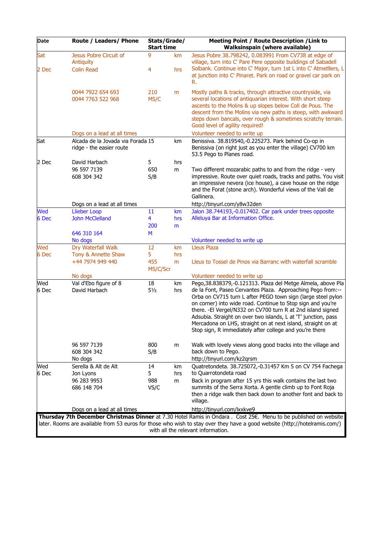| Date         | Route / Leaders/ Phone                                                                                                                                           | Stats/Grade/<br><b>Start time</b> |                | Meeting Point / Route Description / Link to<br><b>Walksinspain (where available)</b>                                                                                                                                                                                                                                                                                                                                                                                                                                     |  |  |  |
|--------------|------------------------------------------------------------------------------------------------------------------------------------------------------------------|-----------------------------------|----------------|--------------------------------------------------------------------------------------------------------------------------------------------------------------------------------------------------------------------------------------------------------------------------------------------------------------------------------------------------------------------------------------------------------------------------------------------------------------------------------------------------------------------------|--|--|--|
| Sat<br>2 Dec | Jesus Pobre Circuit of<br>Antiquity<br><b>Colin Read</b>                                                                                                         | 9<br>4                            | km<br>hrs      | Jesus Pobre 38.798242, 0.083991 From CV738 at edge of<br>village, turn into C' Pare Pere opposite buildings of Sabadell<br>Solbank. Continue into C' Major, turn 1st L into C' Atmetllers, L<br>at junction into C' Pinaret. Park on road or gravel car park on<br>R.                                                                                                                                                                                                                                                    |  |  |  |
|              | 0044 7922 654 693<br>0044 7763 522 968                                                                                                                           | 210<br>MS/C                       | m              | Mostly paths & tracks, through attractive countryside, via<br>several locations of antiquarian interest. With short steep<br>ascents to the Molins & up slopes below Coll de Pous. The<br>descent from the Molins via new paths is steep, with awkward<br>steps down bancals, over rough & sometimes scratchy terrain.<br>Good level of agility required!                                                                                                                                                                |  |  |  |
|              | Dogs on a lead at all times                                                                                                                                      |                                   |                | Volunteer needed to write up                                                                                                                                                                                                                                                                                                                                                                                                                                                                                             |  |  |  |
| Sat          | Alcada de la Jovada via Forada 15<br>ridge - the easier route                                                                                                    |                                   | km             | Benissiva. 38.819540,-0.225273. Park behind Co-op in<br>Benissiva (on right just as you enter the village) CV700 km<br>53.5 Pego to Planes road.                                                                                                                                                                                                                                                                                                                                                                         |  |  |  |
| 2 Dec        | David Harbach                                                                                                                                                    | 5                                 | hrs            |                                                                                                                                                                                                                                                                                                                                                                                                                                                                                                                          |  |  |  |
|              | 96 597 7139<br>608 304 342                                                                                                                                       | 650<br>S/B                        | m              | Two different mozarabic paths to and from the ridge - very<br>impressive. Route over quiet roads, tracks and paths. You visit<br>an impressive nevera (ice house), a cave house on the ridge<br>and the Forat (stone arch). Wonderful views of the Vall de<br>Gallinera.                                                                                                                                                                                                                                                 |  |  |  |
|              | Dogs on a lead at all times                                                                                                                                      |                                   |                | http://tinyurl.com/y8w32den                                                                                                                                                                                                                                                                                                                                                                                                                                                                                              |  |  |  |
| Wed<br>6 Dec | <b>Llieber Loop</b><br><b>John McClelland</b>                                                                                                                    | 11<br>4<br>200                    | km<br>hrs<br>m | Jalon 38.744193,-0.017402. Car park under trees opposite<br>Alleluya Bar at Information Office.                                                                                                                                                                                                                                                                                                                                                                                                                          |  |  |  |
|              | 646 310 164                                                                                                                                                      | М                                 |                |                                                                                                                                                                                                                                                                                                                                                                                                                                                                                                                          |  |  |  |
|              | No dogs                                                                                                                                                          |                                   |                | Volunteer needed to write up                                                                                                                                                                                                                                                                                                                                                                                                                                                                                             |  |  |  |
| Wed          | Dry Waterfall Walk                                                                                                                                               | 12                                | km             | <b>Lleus Plaza</b>                                                                                                                                                                                                                                                                                                                                                                                                                                                                                                       |  |  |  |
| 6 Dec        | Tony & Annette Shaw                                                                                                                                              | 5                                 | hrs            |                                                                                                                                                                                                                                                                                                                                                                                                                                                                                                                          |  |  |  |
|              | +44 7974 949 440                                                                                                                                                 | 455<br>MS/C/Scr                   | m              | Lleus to Tossel de Pinos via Barranc with waterfall scramble                                                                                                                                                                                                                                                                                                                                                                                                                                                             |  |  |  |
|              | No dogs                                                                                                                                                          |                                   |                | Volunteer needed to write up                                                                                                                                                                                                                                                                                                                                                                                                                                                                                             |  |  |  |
| Wed<br>6 Dec | Val d'Ebo figure of 8<br>David Harbach                                                                                                                           | 18<br>$5\frac{1}{2}$              | km<br>hrs      | Pego, 38.838379, -0.121313. Plaza del Metge Almela, above Pla<br>de la Font, Paseo Cervantes Plaza. Approaching Pego from:--<br>Orba on CV715 turn L after PEGO town sign (large steel pylon<br>on corner) into wide road. Continue to Stop sign and you're<br>there. - El Vergel/N332 on CV700 turn R at 2nd island signed<br>Adsubia. Straight on over two islands, L at 'T' junction, pass<br>Mercadona on LHS, straight on at next island, straight on at<br>Stop sign, R immediately after college and you're there |  |  |  |
|              | 96 597 7139<br>608 304 342<br>No dogs                                                                                                                            | 800<br>S/B                        | m              | Walk with lovely views along good tracks into the village and<br>back down to Pego.<br>http://tinyurl.com/kz2qrsm                                                                                                                                                                                                                                                                                                                                                                                                        |  |  |  |
| Wed          | Serella & Alt de Alt                                                                                                                                             | 14                                | km             | Quatretondeta. 38.725072,-0.31457 Km 5 on CV 754 Fachega                                                                                                                                                                                                                                                                                                                                                                                                                                                                 |  |  |  |
| 6 Dec        | Jon Lyons                                                                                                                                                        | 5                                 | hrs            | to Quarrotondeta road                                                                                                                                                                                                                                                                                                                                                                                                                                                                                                    |  |  |  |
|              | 96 283 9953<br>686 148 704                                                                                                                                       | 988<br>VS/C                       | m              | Back in program after 15 yrs this walk contains the last two<br>summits of the Serra Xorta. A gentle climb up to Font Roja<br>then a ridge walk then back down to another font and back to<br>village.                                                                                                                                                                                                                                                                                                                   |  |  |  |
|              | Dogs on a lead at all times                                                                                                                                      |                                   |                | http://tinyurl.com/lxxkve9                                                                                                                                                                                                                                                                                                                                                                                                                                                                                               |  |  |  |
|              |                                                                                                                                                                  |                                   |                | Thursday 7th December Christmas Dinner at 7.30 Hotel Ramis in Ondara. Cost 25€. Menu to be published on website                                                                                                                                                                                                                                                                                                                                                                                                          |  |  |  |
|              | later. Rooms are available from 53 euros for those who wish to stay over they have a good website (http://hotelramis.com/)<br>with all the relevant information. |                                   |                |                                                                                                                                                                                                                                                                                                                                                                                                                                                                                                                          |  |  |  |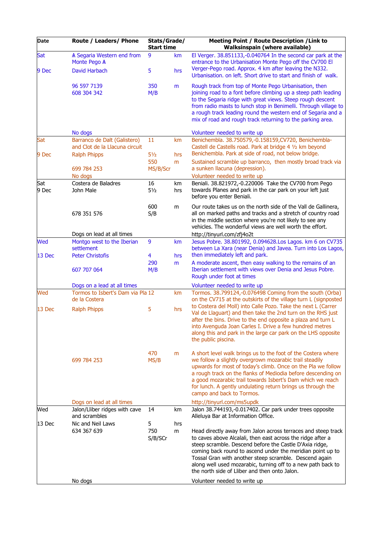| Date          | Route / Leaders/ Phone                                              | Stats/Grade/<br><b>Start time</b> |           | <b>Meeting Point / Route Description / Link to</b><br><b>Walksinspain (where available)</b>                                                                                                                                                                                                                                                                                                                                                                      |  |  |
|---------------|---------------------------------------------------------------------|-----------------------------------|-----------|------------------------------------------------------------------------------------------------------------------------------------------------------------------------------------------------------------------------------------------------------------------------------------------------------------------------------------------------------------------------------------------------------------------------------------------------------------------|--|--|
| Sat<br>9 Dec  | A Segaria Western end from<br>Monte Pego A<br>David Harbach         | 9<br>5.                           | km<br>hrs | El Verger. 38.851133,-0.040764 In the second car park at the<br>entrance to the Urbanisation Monte Pego off the CV700 El<br>Verger-Pego road. Approx. 4 km after leaving the N332.<br>Urbanisation. on left. Short drive to start and finish of walk.                                                                                                                                                                                                            |  |  |
|               | 96 597 7139<br>608 304 342                                          | 350<br>M/B                        | m         | Rough track from top of Monte Pego Urbanisation, then<br>joining road to a font before climbing up a steep path leading<br>to the Segaria ridge with great views. Steep rough descent<br>from radio masts to lunch stop in Benimelli. Through village to<br>a rough track leading round the western end of Segaria and a<br>mix of road and rough track returning to the parking area.                                                                           |  |  |
| Sat           | No dogs<br>Barranco de Dalt (Galistero)                             | 11                                | km        | Volunteer needed to write up<br>Benichembla. 38.750579,-0.158159, CV720, Benichembla-                                                                                                                                                                                                                                                                                                                                                                            |  |  |
| 9 Dec         | and Clot de la Llacuna circuit<br><b>Ralph Phipps</b>               | $5\frac{1}{2}$                    | hrs       | Castell de Castells road. Park at bridge 4 1/2 km beyond<br>Benichembla. Park at side of road, not below bridge.                                                                                                                                                                                                                                                                                                                                                 |  |  |
|               | 699 784 253<br>No dogs                                              | 550<br>MS/B/Scr                   | m         | Sustained scramble up barranco, then mostly broad track via<br>a sunken llacuna (depression).<br>Volunteer needed to write up                                                                                                                                                                                                                                                                                                                                    |  |  |
| Sat<br>9 Dec  | Costera de Baladres<br>John Male                                    | 16<br>$5\frac{1}{2}$              | km<br>hrs | Beniali. 38.821972,-0.220006 Take the CV700 from Pego<br>towards Planes and park in the car park on your left just<br>before you enter Beniali.                                                                                                                                                                                                                                                                                                                  |  |  |
|               | 678 351 576                                                         | 600<br>S/B                        | m         | Our route takes us on the north side of the Vall de Gallinera,<br>all on marked paths and tracks and a stretch of country road<br>in the middle section where you're not likely to see any<br>vehicles. The wonderful views are well worth the effort.                                                                                                                                                                                                           |  |  |
|               | Dogs on lead at all times                                           |                                   |           | http://tinyurl.com/zfj4o2t                                                                                                                                                                                                                                                                                                                                                                                                                                       |  |  |
| Wed<br>13 Dec | Montgo west to the Iberian<br>settlement<br><b>Peter Christofis</b> | 9<br>4                            | km<br>hrs | Jesus Pobre. 38.801992, 0.094628.Los Lagos. km 6 on CV735<br>between La Xara (near Denia) and Javea. Turn into Los Lagos,<br>then immediately left and park.                                                                                                                                                                                                                                                                                                     |  |  |
|               | 607 707 064                                                         | 290<br>M/B                        | m         | A moderate ascent, then easy walking to the remains of an<br>Iberian settlement with views over Denia and Jesus Pobre.<br>Rough under foot at times                                                                                                                                                                                                                                                                                                              |  |  |
|               | Dogs on a lead at all times                                         |                                   |           | Volunteer needed to write up                                                                                                                                                                                                                                                                                                                                                                                                                                     |  |  |
| Wed           | Tormos to Isbert's Dam via Pla 12<br>de la Costera                  |                                   | km        | Tormos. 38.799124,-0.076498 Coming from the south (Orba)<br>on the CV715 at the outskirts of the village turn L (signposted<br>to Costera del Moll) into Calle Pozo. Take the next L (Carrer                                                                                                                                                                                                                                                                     |  |  |
| 13 Dec        | <b>Ralph Phipps</b>                                                 | 5                                 | hrs       | Val de Llaguart) and then take the 2nd turn on the RHS just<br>after the bins. Drive to the end opposite a plaza and turn L<br>into Avenguda Joan Carles I. Drive a few hundred metres<br>along this and park in the large car park on the LHS opposite<br>the public piscina.                                                                                                                                                                                   |  |  |
|               | 699 784 253                                                         | 470<br>MS/B                       | m         | A short level walk brings us to the foot of the Costera where<br>we follow a slightly overgrown mozarabic trail steadily<br>upwards for most of today's climb. Once on the Pla we follow<br>a rough track on the flanks of Mediodia before descending on<br>a good mozarabic trail towards Isbert's Dam which we reach<br>for lunch. A gently undulating return brings us through the<br>campo and back to Tormos.                                               |  |  |
|               | Dogs on lead at all times                                           |                                   |           | http://tinyurl.com/ms5updk                                                                                                                                                                                                                                                                                                                                                                                                                                       |  |  |
| Wed           | Jalon/Lliber ridges with cave<br>and scrambles                      | 14                                | km        | Jalon 38.744193,-0.017402. Car park under trees opposite<br>Alleluya Bar at Information Office.                                                                                                                                                                                                                                                                                                                                                                  |  |  |
| $13$ Dec      | Nic and Neil Laws<br>634 367 639<br>No dogs                         | 5<br>750<br>S/B/SCr               | hrs<br>m  | Head directly away from Jalon across terraces and steep track<br>to caves above Alcalali, then east across the ridge after a<br>steep scramble. Descend before the Castle D'Axia ridge,<br>coming back round to ascend under the meridian point up to<br>Tossal Gran with another steep scramble. Descend again<br>along well used mozarabic, turning off to a new path back to<br>the north side of Lliber and then onto Jalon.<br>Volunteer needed to write up |  |  |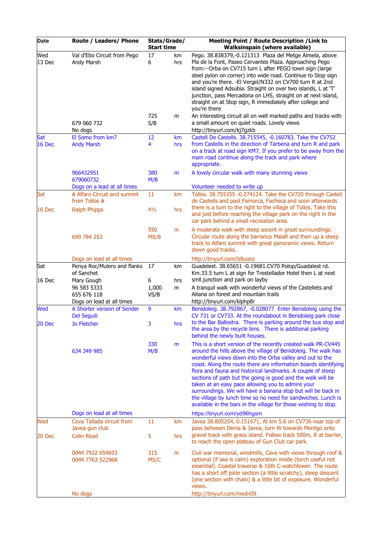| Date            | Route / Leaders/ Phone                                                                             | Stats/Grade/<br><b>Start time</b> |           | Meeting Point / Route Description / Link to<br><b>Walksinspain (where available)</b>                                                                                                                                                                                                                                                                                                                                                                                                                                                                                                                                                                  |
|-----------------|----------------------------------------------------------------------------------------------------|-----------------------------------|-----------|-------------------------------------------------------------------------------------------------------------------------------------------------------------------------------------------------------------------------------------------------------------------------------------------------------------------------------------------------------------------------------------------------------------------------------------------------------------------------------------------------------------------------------------------------------------------------------------------------------------------------------------------------------|
| Wed<br>13 Dec   | Val d'Ebo Circuit from Pego<br>Andy Marsh                                                          | 17<br>6                           | km<br>hrs | Pego. 38.838379,-0.121313 Plaza del Metge Almela, above<br>Pla de la Font, Paseo Cervantes Plaza. Approaching Pego<br>from:--Orba on CV715 turn L after PEGO town sign (large<br>steel pylon on corner) into wide road. Continue to Stop sign<br>and you're there. - El Vergel/N332 on CV700 turn R at 2nd<br>island signed Adsubia. Straight on over two islands, L at 'T'<br>junction, pass Mercadona on LHS, straight on at next island,<br>straight on at Stop sign, R immediately after college and<br>you're there                                                                                                                              |
|                 | 679 060 732<br>No dogs                                                                             | 725<br>S/B                        | m         | An interesting circuit all on well marked paths and tracks with<br>a small amount on quiet roads. Lovely views<br>http://tinyurl.com/kj7gzkb                                                                                                                                                                                                                                                                                                                                                                                                                                                                                                          |
| Sat<br>16 Dec   | El Somo from km7<br><b>Andy Marsh</b>                                                              | 12<br>4                           | km<br>hrs | Castell De Castells. 38.715545, -0.160783. Take the CV752<br>from Castells in the direction of Tarbena and turn R and park<br>on a track at road sign KM7. If you prefer to be away from the<br>main road continue along the track and park where<br>appropriate.                                                                                                                                                                                                                                                                                                                                                                                     |
|                 | 966432951<br>679060732                                                                             | 380<br>M/B                        | m         | A lovely circular walk with many stunning views                                                                                                                                                                                                                                                                                                                                                                                                                                                                                                                                                                                                       |
| Sat<br>16 Dec   | Dogs on a lead at all times<br>A Alfaro Circuit and summit<br>from Tollos A<br><b>Ralph Phipps</b> | 11<br>41/2                        | km<br>hrs | Volunteer needed to write up<br>Tollos. 38.755355 -0.274124. Take the CV720 through Castell<br>de Castells and past Famorca, Facheca and soon afterwards<br>there is a turn to the right to the village of Tollos. Take this                                                                                                                                                                                                                                                                                                                                                                                                                          |
|                 |                                                                                                    |                                   |           | and just before reaching the village park on the right in the<br>car park behind a small recreation area.                                                                                                                                                                                                                                                                                                                                                                                                                                                                                                                                             |
|                 | 699 784 253                                                                                        | 550<br>MS/B                       | m         | A moderate walk with steep ascent in great surroundings.<br>Circular route along the barranco Malafi and then up a steep<br>track to Alfaro summit with great panoramic views. Return<br>down good tracks.                                                                                                                                                                                                                                                                                                                                                                                                                                            |
|                 | Dogs on lead at all times                                                                          |                                   |           | http://tinyurl.com/lz8uooz                                                                                                                                                                                                                                                                                                                                                                                                                                                                                                                                                                                                                            |
| Sat<br>$16$ Dec | Penya Roc/Mulero and flanks<br>of Sanchet<br>Mary Gough                                            | 17<br>6                           | km<br>hrs | Guadelest. 38.65651 -0.19681.CV70 Polop/Guadalest rd.<br>Km.33.5 turn L at sign for Trestellador Hotel then L at next<br>smll.junction and park on layby                                                                                                                                                                                                                                                                                                                                                                                                                                                                                              |
|                 | 96 583 5333<br>655 676 118<br>Dogs on lead at all times                                            | 1,000<br>VS/B                     | m         | A tranquil walk with wonderful views of the Castellets and<br>Aitana on forest and mountain trails<br>http://tinyurl.com/klphp8r                                                                                                                                                                                                                                                                                                                                                                                                                                                                                                                      |
| Wed             | A Shorter version of Sender<br><b>Del Seguili</b>                                                  | 9                                 | km        | Benidoleig. 38.792867, -0.028077 Enter Benidoleig using the<br>CV 731 or CV733. At the roundabout in Benidoleig park close                                                                                                                                                                                                                                                                                                                                                                                                                                                                                                                            |
| 20 Dec          | <b>Jo Fletcher</b>                                                                                 | 3                                 | hrs       | to the Bar Ballestra. There is parking around the bus stop and<br>the area by the recycle bins. There is additional parking<br>behind the newly built houses.                                                                                                                                                                                                                                                                                                                                                                                                                                                                                         |
|                 | 634 349 985                                                                                        | 330<br>M/B                        | m         | This is a short version of the recently created walk PR-CV445<br>around the hills above the village of Benidoleig. The walk has<br>wonderful views down into the Orba valley and out to the<br>coast. Along the route there are information boards identifying<br>flora and fauna and historical landmarks. A couple of steep<br>sections of path but the going is good and the walk will be<br>taken at an easy pace allowing you to admire your<br>surroundings. We will have a banana stop but will be back in<br>the village by lunch time so no need for sandwiches. Lunch is<br>available in the bars in the village for those wishing to stop. |
|                 | Dogs on lead at all times                                                                          |                                   |           | https://tinyurl.com/yd96hgsm                                                                                                                                                                                                                                                                                                                                                                                                                                                                                                                                                                                                                          |
| Wed             | Cova Tallada circuit from<br>Javea gun club                                                        | 11                                | km        | Javea 38.805254, 0.151671, At km 5.6 on CV736 near top of<br>pass between Denia & Javea, turn W towards Montgo onto<br>gravel track with grass island. Follow track 500m, R at barrier,                                                                                                                                                                                                                                                                                                                                                                                                                                                               |
| 20 Dec          | <b>Colin Read</b>                                                                                  | 5                                 | hrs       | to reach the open plateau of Gun Club car park.                                                                                                                                                                                                                                                                                                                                                                                                                                                                                                                                                                                                       |
|                 | 0044 7922 654693<br>0044 7763 522968                                                               | 315<br>MS/C                       | m         | Civil war memorial, windmills, Cave with views through roof &<br>optional (if sea is calm) exploration inside (torch useful not<br>essential). Coastal traverse & 16th C-watchtower. The route<br>has a short off piste section (a little scratchy), steep descent<br>(one section with chain) & a little bit of exposure. Wonderful<br>views.                                                                                                                                                                                                                                                                                                        |
|                 | No dogs                                                                                            |                                   |           | http://tinyurl.com/mednl5t                                                                                                                                                                                                                                                                                                                                                                                                                                                                                                                                                                                                                            |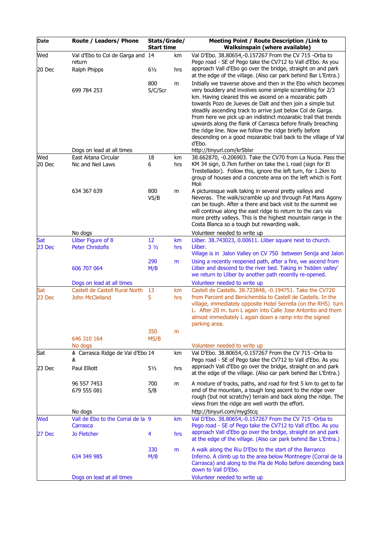| Date          | Route / Leaders/ Phone                            | Stats/Grade/<br><b>Start time</b> |           | Meeting Point / Route Description / Link to<br><b>Walksinspain (where available)</b>                                                                                                                                                                                                                                                                                                                                                                                                                                                                                                     |  |
|---------------|---------------------------------------------------|-----------------------------------|-----------|------------------------------------------------------------------------------------------------------------------------------------------------------------------------------------------------------------------------------------------------------------------------------------------------------------------------------------------------------------------------------------------------------------------------------------------------------------------------------------------------------------------------------------------------------------------------------------------|--|
| Wed           | Val d'Ebo to Col de Garga and 14<br>return        |                                   | km        | Val D'Ebo, 38,80654,-0.157267 From the CV 715 -Orba to<br>Pego road - SE of Pego take the CV712 to Vall d'Ebo. As you<br>approach Vall d'Ebo go over the bridge, straight on and park                                                                                                                                                                                                                                                                                                                                                                                                    |  |
| 20 Dec        | Ralph Phipps                                      | $6\frac{1}{2}$                    | hrs       | at the edge of the village. (Also car park behind Bar L'Entra.)                                                                                                                                                                                                                                                                                                                                                                                                                                                                                                                          |  |
|               | 699 784 253                                       | 800<br>S/C/Scr                    | m         | Initially we traverse above and then in the Ebo which becomes<br>very bouldery and involves some simple scrambling for 2/3<br>km. Having cleared this we ascend on a mozarabic path<br>towards Pozo de Jueves de Dalt and then join a simple but<br>steadily ascending track to arrive just below Col de Garga.<br>From here we pick up an indistinct mozarabic trail that trends<br>upwards along the flank of Carrasca before finally breaching<br>the ridge line. Now we follow the ridge briefly before<br>descending on a good mozarabic trail back to the village of Val<br>d'Ebo. |  |
|               | Dogs on lead at all times                         |                                   |           | http://tinyurl.com/kr5blxr                                                                                                                                                                                                                                                                                                                                                                                                                                                                                                                                                               |  |
| Wed<br>20 Dec | East Aitana Circular<br>Nic and Neil Laws         | 18<br>6                           | km<br>hrs | 38.662870, -0.206903. Take the CV70 from La Nucia. Pass the<br>KM 34 sign, 0.7km further on take the L road (sign for El<br>Trestellador). Follow this, ignore the left turn, for 1.2km to<br>group of houses and a concrete area on the left which is Font<br>Moli                                                                                                                                                                                                                                                                                                                      |  |
|               | 634 367 639                                       | 800<br>VS/B                       | m         | A picturesque walk taking in several pretty valleys and<br>Neveras. The walk/scramble up and through Fat Mans Agony<br>can be tough. After a there and back visit to the summit we<br>will continue along the east ridge to return to the cars via<br>more pretty valleys. This is the highest mountain range in the<br>Costa Blanca so a tough but rewarding walk.                                                                                                                                                                                                                      |  |
|               | No dogs                                           |                                   |           | Volunteer needed to write up                                                                                                                                                                                                                                                                                                                                                                                                                                                                                                                                                             |  |
| Sat           | Lliber Figure of 8                                | 12                                | km        | Lliber. 38.743023, 0.00611. Lliber square next to church.                                                                                                                                                                                                                                                                                                                                                                                                                                                                                                                                |  |
| 23 Dec        | <b>Peter Christofis</b>                           | $3\frac{1}{2}$<br>290             | hrs       | Lliber.<br>Village is in Jalon Valley on CV 750 between Senija and Jalon<br>Using a recently reopened path, after a fire, we ascend from                                                                                                                                                                                                                                                                                                                                                                                                                                                 |  |
|               | 606 707 064                                       | M/B                               | m         | Lliber and descend to the river bed. Taking in 'hidden valley'<br>we return to Lliber by another path recently re-opened.                                                                                                                                                                                                                                                                                                                                                                                                                                                                |  |
|               | Dogs on lead at all times                         |                                   |           | Volunteer needed to write up                                                                                                                                                                                                                                                                                                                                                                                                                                                                                                                                                             |  |
| Sat<br>23 Dec | Castell de Castell Rural North<br>John McClelland | 13<br>5                           | km<br>hrs | Castell de Castells. 38.723848, -0.194751. Take the CV720<br>from Parcent and Benichembla to Castell de Castells. In the<br>village, immediately opposite Hotel Serrella (on the RHS) turn<br>L. After 20 m. turn L again into Calle Jose Antontio and them<br>almost immediately L again down a ramp into the signed<br>parking area.                                                                                                                                                                                                                                                   |  |
|               |                                                   | 350                               | m         |                                                                                                                                                                                                                                                                                                                                                                                                                                                                                                                                                                                          |  |
|               | 646 310 164                                       | MS/B                              |           |                                                                                                                                                                                                                                                                                                                                                                                                                                                                                                                                                                                          |  |
|               | No dogs                                           |                                   |           | Volunteer needed to write up                                                                                                                                                                                                                                                                                                                                                                                                                                                                                                                                                             |  |
| Sat           | A Carrasca Ridge de Val d'Ebo 14<br>Α             |                                   | km        | Val D'Ebo. 38.80654,-0.157267 From the CV 715 -Orba to<br>Pego road - SE of Pego take the CV712 to Vall d'Ebo. As you                                                                                                                                                                                                                                                                                                                                                                                                                                                                    |  |
| 23 Dec        | Paul Elliott                                      | $5\frac{1}{2}$                    | hrs       | approach Vall d'Ebo go over the bridge, straight on and park<br>at the edge of the village. (Also car park behind Bar L'Entra.)                                                                                                                                                                                                                                                                                                                                                                                                                                                          |  |
|               | 96 557 7453<br>679 555 081                        | 700<br>S/B                        | m         | A mixture of tracks, paths, and road for first 5 km to get to far<br>end of the mountain, a tough long ascent to the ridge over<br>rough (but not scratchy) terrain and back along the ridge. The<br>views from the ridge are well worth the effort.                                                                                                                                                                                                                                                                                                                                     |  |
|               | No dogs                                           |                                   |           | http://tinyurl.com/myg5tcq                                                                                                                                                                                                                                                                                                                                                                                                                                                                                                                                                               |  |
| Wed           | Vall de Ebo to the Corral de la 9<br>Carrasca     |                                   | km        | Val D'Ebo. 38.80654,-0.157267 From the CV 715 -Orba to<br>Pego road - SE of Pego take the CV712 to Vall d'Ebo. As you<br>approach Vall d'Ebo go over the bridge, straight on and park                                                                                                                                                                                                                                                                                                                                                                                                    |  |
| 27 Dec        | Jo Fletcher                                       | 4                                 | hrs       | at the edge of the village. (Also car park behind Bar L'Entra.)                                                                                                                                                                                                                                                                                                                                                                                                                                                                                                                          |  |
|               | 634 349 985                                       | 330<br>M/B                        | m         | A walk along the Riu D'Ebo to the start of the Barranco<br>Inferno. A climb up to the area below Montnegre (Corral de la<br>Carrasca) and along to the Pla de Mollo before decending back<br>down to Vall D'Ebo.                                                                                                                                                                                                                                                                                                                                                                         |  |
|               | Dogs on lead at all times                         |                                   |           | Volunteer needed to write up                                                                                                                                                                                                                                                                                                                                                                                                                                                                                                                                                             |  |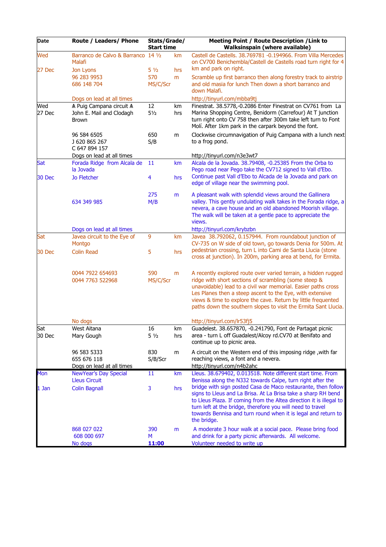| Date                 | Route / Leaders/ Phone                                        | Stats/Grade/<br><b>Start time</b> |           | <b>Meeting Point / Route Description / Link to</b><br><b>Walksinspain (where available)</b>                                                                                                                                                                                                                                                                                               |
|----------------------|---------------------------------------------------------------|-----------------------------------|-----------|-------------------------------------------------------------------------------------------------------------------------------------------------------------------------------------------------------------------------------------------------------------------------------------------------------------------------------------------------------------------------------------------|
| Wed<br><b>27 Dec</b> | Barranco de Calvo & Barranco 14 1/2<br>Malafi<br>Jon Lyons    | $5\frac{1}{2}$                    | km<br>hrs | Castell de Castells. 38.769781 -0.194966. From Villa Mercedes<br>on CV700 Benichembla/Castell de Castells road turn right for 4<br>km and park on right.                                                                                                                                                                                                                                  |
|                      | 96 283 9953<br>686 148 704                                    | 570<br>MS/C/Scr                   | m         | Scramble up first barranco then along forestry track to airstrip<br>and old masia for lunch Then down a short barranco and<br>down Malafi.                                                                                                                                                                                                                                                |
|                      | Dogs on lead at all times                                     |                                   |           | http://tinyurl.com/mbba9tj                                                                                                                                                                                                                                                                                                                                                                |
| Wed<br>27 Dec        | A Puig Campana circuit A<br>John E. Mail and Clodagh<br>Brown | 12<br>$5\frac{1}{2}$              | km<br>hrs | Finestrat. 38.5778,-0.2086 Enter Finestrat on CV761 from La<br>Marina Shopping Centre, Benidorm (Carrefour) At T junction<br>turn right onto CV 758 then after 300m take left turn to Font<br>Molí. After 1km park in the carpark beyond the font.                                                                                                                                        |
|                      | 96 584 6505<br>J 620 865 267<br>C 647 894 157                 | 650<br>S/B                        | m         | Clockwise circumnavigation of Puig Campana with a lunch next<br>to a frog pond.                                                                                                                                                                                                                                                                                                           |
|                      | Dogs on lead at all times                                     |                                   |           | http://tinyurl.com/n3e3wt7                                                                                                                                                                                                                                                                                                                                                                |
| Sat                  | Forada Ridge from Alcala de                                   | 11                                | km        | Alcala de la Jovada. 38.79408, -0.25385 From the Orba to                                                                                                                                                                                                                                                                                                                                  |
| 30 Dec               | la Jovada<br>Jo Fletcher                                      | $\overline{4}$                    | hrs       | Pego road near Pego take the CV712 signed to Vall d'Ebo.<br>Continue past Vall d'Ebo to Alcada de la Jovada and park on<br>edge of village near the swimming pool.                                                                                                                                                                                                                        |
|                      | 634 349 985                                                   | 275<br>M/B                        | m         | A pleasant walk with splendid views around the Gallinera<br>valley. This gently undulating walk takes in the Forada ridge, a<br>nevera, a cave house and an old abandoned Moorish village.<br>The walk will be taken at a gentle pace to appreciate the<br>views.                                                                                                                         |
|                      | Dogs on lead at all times                                     |                                   |           | http://tinyurl.com/krybzbn                                                                                                                                                                                                                                                                                                                                                                |
| Sat                  | Javea circuit to the Eye of<br>Montgo                         | 9                                 | km        | Javea 38.792062, 0.157944. From roundabout junction of<br>CV-735 on W side of old town, go towards Denia for 500m. At                                                                                                                                                                                                                                                                     |
| <b>30 Dec</b>        | <b>Colin Read</b>                                             | 5                                 | hrs       | pedestrian crossing, turn L into Cami de Santa Llucia (stone<br>cross at junction). In 200m, parking area at bend, for Ermita.                                                                                                                                                                                                                                                            |
|                      | 0044 7922 654693<br>0044 7763 522968                          | 590<br>MS/C/Scr                   | m         | A recently explored route over varied terrain, a hidden rugged<br>ridge with short sections of scrambling (some steep &<br>unavoidable) lead to a civil war memorial. Easier paths cross<br>Les Planes then a steep ascent to the Eye, with extensive<br>views & time to explore the cave. Return by little frequented<br>paths down the southern slopes to visit the Ermita Sant Llucia. |
|                      | No dogs                                                       |                                   |           | http://tinyurl.com/lr53fj5                                                                                                                                                                                                                                                                                                                                                                |
| Sat<br>30 Dec        | West Aitana<br>Mary Gough                                     | 16<br>$5\frac{1}{2}$              | km<br>hrs | Guadelest. 38.657870, -0.241790, Font de Partagat picnic<br>area - turn L off Guadalest/Alcoy rd.CV70 at Benifato and<br>continue up to picnic area.                                                                                                                                                                                                                                      |
|                      | 96 583 5333<br>655 676 118                                    | 830<br>S/B/Scr                    | m         | A circuit on the Western end of this imposing ridge, with far<br>reaching views, a font and a nevera.                                                                                                                                                                                                                                                                                     |
| Mon                  | Dogs on lead at all times                                     |                                   |           | http://tinyurl.com/n4b2ahc<br>Lleus. 38.679402, 0.013518. Note different start time. From                                                                                                                                                                                                                                                                                                 |
|                      | NewYear's Day Special<br><b>Lleus Circuit</b>                 | 11                                | km        | Benissa along the N332 towards Calpe, turn right after the                                                                                                                                                                                                                                                                                                                                |
| 1 Jan                | <b>Colin Bagnall</b>                                          | 3                                 | hrs       | bridge with sign posted Casa de Maco restaurante, then follow<br>signs to Lleus and La Brisa. At La Brisa take a sharp RH bend<br>to Lleus Plaza. If coming from the Altea direction it is illegal to<br>turn left at the bridge, therefore you will need to travel<br>towards Bennisa and turn round when it is legal and return to<br>the bridge.                                       |
|                      | 868 027 022<br>608 000 697<br>No dogs                         | 390<br>M<br>11:00                 | m         | A moderate 3 hour walk at a social pace. Please bring food<br>and drink for a party picnic afterwards. All welcome.<br>Volunteer needed to write up                                                                                                                                                                                                                                       |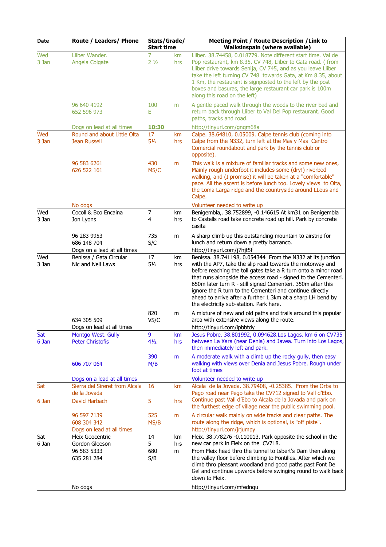| Date           | Route / Leaders/ Phone                                                          | Stats/Grade/<br><b>Start time</b> |           | Meeting Point / Route Description / Link to<br><b>Walksinspain (where available)</b>                                                                                                                                                                                                                                                                                                                                                                                                             |  |
|----------------|---------------------------------------------------------------------------------|-----------------------------------|-----------|--------------------------------------------------------------------------------------------------------------------------------------------------------------------------------------------------------------------------------------------------------------------------------------------------------------------------------------------------------------------------------------------------------------------------------------------------------------------------------------------------|--|
| Wed<br>3 Jan   | Lliber Wander.<br>Angela Colgate                                                | 7<br>2 <sub>1/2</sub>             | km<br>hrs | Lliber. 38.74458, 0.018779. Note different start time. Val de<br>Pop restaurant, km 8.35, CV 748, Lliber to Gata road. (from<br>Lliber drive towards Senija, CV 745, and as you leave Lliber<br>take the left turning CV 748 towards Gata, at Km 8.35, about<br>1 Km, the restaurant is signposted to the left by the post<br>boxes and basuras, the large restaurant car park is 100m<br>along this road on the left)                                                                           |  |
|                | 96 640 4192<br>652 596 973                                                      | 100<br>E                          | m         | A gentle paced walk through the woods to the river bed and<br>return back through Lliber to Val Del Pop restaurant. Good<br>paths, tracks and road.                                                                                                                                                                                                                                                                                                                                              |  |
| Wed<br>3 Jan   | Dogs on lead at all times<br>Round and about Little Olta<br><b>Jean Russell</b> | 10:30<br>17<br>$5\frac{1}{2}$     | km<br>hrs | http://tinyurl.com/gngm68a<br>Calpe. 38.64810, 0.05009. Calpe tennis club (coming into<br>Calpe from the N332, turn left at the Mas y Mas Centro<br>Comercial roundabout and park by the tennis club or<br>opposite).                                                                                                                                                                                                                                                                            |  |
|                | 96 583 6261<br>626 522 161                                                      | 430<br>MS/C                       | m         | This walk is a mixture of familiar tracks and some new ones,<br>Mainly rough underfoot it includes some (dry!) riverbed<br>walking, and (I promise) it will be taken at a "comfortable"<br>pace. All the ascent is before lunch too. Lovely views to Olta,<br>the Loma Larga ridge and the countryside around LLeus and<br>Calpe.                                                                                                                                                                |  |
|                | No dogs                                                                         |                                   |           | Volunteer needed to write up                                                                                                                                                                                                                                                                                                                                                                                                                                                                     |  |
| Wed<br>3 Jan   | Cocoll & Bco Encaina<br>Jon Lyons                                               | $\overline{7}$<br>4               | km<br>hrs | Benigembla,. 38.752899, -0.146615 At km31 on Benigembla<br>to Castells road take concrete road up hill. Park by concrete<br>casita                                                                                                                                                                                                                                                                                                                                                               |  |
|                | 96 283 9953<br>686 148 704<br>Dogs on a lead at all times                       | 735<br>S/C                        | m         | A sharp climb up this outstanding mountain to airstrip for<br>lunch and return down a pretty barranco.<br>http://tinyurl.com/j7hjt5f                                                                                                                                                                                                                                                                                                                                                             |  |
| Wed<br>$3$ Jan | Benissa / Gata Circular<br>Nic and Neil Laws                                    | 17<br>$5\frac{1}{2}$              | km<br>hrs | Benissa. 38.741198, 0.054344 From the N332 at its junction<br>with the AP7, take the slip road towards the motorway and<br>before reaching the toll gates take a R turn onto a minor road<br>that runs alongside the access road - signed to the Cementeri.<br>650m later turn R - still signed Cementeri. 350m after this<br>ignore the R turn to the Cementeri and continue directly<br>ahead to arrive after a further 1.3km at a sharp LH bend by<br>the electricity sub-station. Park here. |  |
|                | 634 305 509<br>Dogs on lead at all times                                        | 820<br>VS/C                       | m         | A mixture of new and old paths and trails around this popular<br>area with extensive views along the route.<br>http://tinyurl.com/lpbbtdy                                                                                                                                                                                                                                                                                                                                                        |  |
| Sat<br>$6$ Jan | Montgo West. Gully<br><b>Peter Christofis</b>                                   | 9<br>41/2                         | km<br>hrs | Jesus Pobre. 38.801992, 0.094628.Los Lagos. km 6 on CV735<br>between La Xara (near Denia) and Javea. Turn into Los Lagos,<br>then immediately left and park.                                                                                                                                                                                                                                                                                                                                     |  |
|                | 606 707 064                                                                     | 390<br>M/B                        | m         | A moderate walk with a climb up the rocky gully, then easy<br>walking with views over Denia and Jesus Pobre. Rough under<br>foot at times                                                                                                                                                                                                                                                                                                                                                        |  |
|                | Dogs on a lead at all times                                                     |                                   |           | Volunteer needed to write up                                                                                                                                                                                                                                                                                                                                                                                                                                                                     |  |
| Sat            | Sierra del Sireret from Alcala<br>de la Jovada                                  | 16                                | km        | Alcala de la Jovada. 38.79408, -0.25385. From the Orba to<br>Pego road near Pego take the CV712 signed to Vall d'Ebo.                                                                                                                                                                                                                                                                                                                                                                            |  |
| 6 Jan          | David Harbach                                                                   | 5                                 | hrs       | Continue past Vall d'Ebo to Alcala de la Jovada and park on<br>the furthest edge of village near the public swimming pool.                                                                                                                                                                                                                                                                                                                                                                       |  |
|                | 96 597 7139<br>608 304 342<br>Dogs on lead at all times                         | 525<br>MS/B                       | m         | A circular walk mainly on wide tracks and clear paths. The<br>route along the ridge, which is optional, is "off piste".<br>http://tinyurl.com/jrjumpy                                                                                                                                                                                                                                                                                                                                            |  |
| Sat            | Fleix Geocentric                                                                | 14                                | km        | Fleix. 38.778276 -0.110013. Park opposite the school in the                                                                                                                                                                                                                                                                                                                                                                                                                                      |  |
| $6$ Jan        | Gordon Gleeson<br>96 583 5333<br>635 281 284                                    | 5<br>680<br>S/B                   | hrs<br>m  | new car park in Fleix on the CV718.<br>From Fleix head thro the tunnel to Isbert's Dam then along<br>the valley floor before climbing to Fontilles. After which we<br>climb thro pleasant woodland and good paths past Font De<br>Gel and continue upwards before swinging round to walk back<br>down to Fleix.                                                                                                                                                                                  |  |
|                | No dogs                                                                         |                                   |           | http://tinyurl.com/mfednqu                                                                                                                                                                                                                                                                                                                                                                                                                                                                       |  |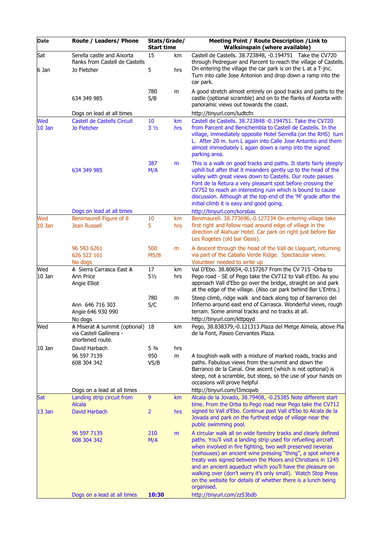| Date            | Route / Leaders/ Phone                                                          | Stats/Grade/<br><b>Start time</b> |           | Meeting Point / Route Description / Link to<br><b>Walksinspain (where available)</b>                                                                                                                                                                                                                                                                                                                                                                                                                                                       |
|-----------------|---------------------------------------------------------------------------------|-----------------------------------|-----------|--------------------------------------------------------------------------------------------------------------------------------------------------------------------------------------------------------------------------------------------------------------------------------------------------------------------------------------------------------------------------------------------------------------------------------------------------------------------------------------------------------------------------------------------|
| Sat<br>6 Jan    | Serella castle and Aixorta<br>flanks from Castell de Castells<br>Jo Fletcher    | 15<br>5                           | km<br>hrs | Castell de Castells. 38.723848, -0.194751 Take the CV720<br>through Pedreguer and Parcent to reach the village of Castells.<br>On entering the village the car park is on the L at a T-jnc.<br>Turn into calle Jose Antonion and drop down a ramp into the<br>car park.                                                                                                                                                                                                                                                                    |
|                 | 634 349 985                                                                     | 780<br>S/B                        | m         | A good stretch almost entirely on good tracks and paths to the<br>castle (optional scramble) and on to the flanks of Aixorta with<br>panoramic views out towards the coast.                                                                                                                                                                                                                                                                                                                                                                |
|                 | Dogs on lead at all times                                                       |                                   |           | http://tinyurl.com/ludtcfn                                                                                                                                                                                                                                                                                                                                                                                                                                                                                                                 |
| Wed<br>$10$ Jan | Castell de Castells Circuit<br>Jo Fletcher                                      | 10<br>$3\frac{1}{2}$              | km<br>hrs | Castell de Castells, 38.723848 -0.194751. Take the CV720<br>from Parcent and Benichembla to Castell de Castells. In the<br>village, immediately opposite Hotel Serrella (on the RHS) turn<br>L. After 20 m. turn L again into Calle Jose Antontio and them<br>almost immediately L again down a ramp into the signed<br>parking area.                                                                                                                                                                                                      |
|                 | 634 349 985                                                                     | 387<br>M/A                        | m         | This is a walk on good tracks and paths. It starts fairly steeply<br>uphill but after that it meanders gently up to the head of the<br>valley with great views down to Castells. Our route passes<br>Font de la Retura a very pleasant spot before crossing the<br>CV752 to reach an interesting ruin which is bound to cause<br>discussion. Although at the top end of the 'M' grade after the<br>initial climb it is easy and good going.                                                                                                |
|                 | Dogs on lead at all times                                                       |                                   |           | http://tinyurl.com/kors6as                                                                                                                                                                                                                                                                                                                                                                                                                                                                                                                 |
| Wed<br>$10$ Jan | Benimaurell Figure of 8<br><b>Jean Russell</b>                                  | 10<br>5                           | km<br>hrs | Benimaurell. 38.773696,-0.127234 On entering village take<br>first right and follow road around edge of village in the<br>direction of Alahuar Hotel. Car park on right just before Bar<br>Les Rogetes (old bar Oasis).                                                                                                                                                                                                                                                                                                                    |
|                 | 96 583 6261<br>626 522 161<br>No dogs                                           | 500<br>MS/B                       | m         | A descent through the head of the Vall de Llaguart, returning<br>via part of the Caballo Verde Ridge. Spectacular views.<br>Volunteer needed to write up                                                                                                                                                                                                                                                                                                                                                                                   |
| Wed<br>$10$ Jan | A Sierra Carrasca East A<br>Ann Price<br>Angie Elliot                           | 17<br>$5\frac{1}{2}$              | km<br>hrs | Val D'Ebo. 38.80654,-0.157267 From the CV 715 -Orba to<br>Pego road - SE of Pego take the CV712 to Vall d'Ebo. As you<br>approach Vall d'Ebo go over the bridge, straight on and park<br>at the edge of the village. (Also car park behind Bar L'Entra.)                                                                                                                                                                                                                                                                                   |
|                 | Ann 646 716 303<br>Angie 646 930 990<br>No dogs                                 | 780<br>S/C                        | m         | Steep climb, ridge walk and back along top of barranco del<br>Infierno around east end of Carrasca. Wonderful views, rough<br>terrain. Some animal tracks and no tracks at all.<br>http://tinyurl.com/kttpqyd                                                                                                                                                                                                                                                                                                                              |
| Wed             | A Miserat A summit (optional) 18<br>via Castell Gallinera -<br>shortened route. |                                   | km        | Pego, 38.838379,-0.121313. Plaza del Metge Almela, above Pla<br>de la Font, Paseo Cervantes Plaza.                                                                                                                                                                                                                                                                                                                                                                                                                                         |
| $10$ Jan        | David Harbach<br>96 597 7139<br>608 304 342                                     | $5\frac{3}{4}$<br>950<br>VS/B     | hrs<br>m  | A toughish walk with a mixture of marked roads, tracks and<br>paths. Fabulous views from the summit and down the<br>Barranco de la Canal. One ascent (which is not optional) is<br>steep, not a scramble, but steep, so the use of your hands on<br>occasions will prove helpful                                                                                                                                                                                                                                                           |
|                 | Dogs on a lead at all times                                                     |                                   |           | http://tinyurl.com/l3mcqwb                                                                                                                                                                                                                                                                                                                                                                                                                                                                                                                 |
| Sat             | Landing strip circuit from<br><b>Alcala</b>                                     | 9                                 | km        | Alcala de la Jovado, 38.79408, -0.25385 Note different start<br>time. From the Orba to Pego road near Pego take the CV712                                                                                                                                                                                                                                                                                                                                                                                                                  |
| $13$ Jan        | David Harbach                                                                   | $\overline{2}$                    | hrs       | signed to Vall d'Ebo. Continue past Vall d'Ebo to Alcala de la<br>Jovada and park on the furthest edge of village near the<br>public swimming pool.                                                                                                                                                                                                                                                                                                                                                                                        |
|                 | 96 597 7139<br>608 304 342                                                      | 210<br>M/A                        | m         | A circular walk all on wide forestry tracks and clearly defined<br>paths. You'll visit a landing strip used for refuelling aircraft<br>when involved in fire fighting, two well preserved neveras<br>(icehouses) an ancient wine pressing "thing", a spot where a<br>treaty was signed between the Moors and Christians in 1245<br>and an ancient aqueduct which you'll have the pleasure on<br>walking over (don't worry it's only small). Watch Stop Press<br>on the website for details of whether there is a lunch being<br>organised. |
|                 | Dogs on a lead at all times                                                     | 10:30                             |           | http://tinyurl.com/zz53bdb                                                                                                                                                                                                                                                                                                                                                                                                                                                                                                                 |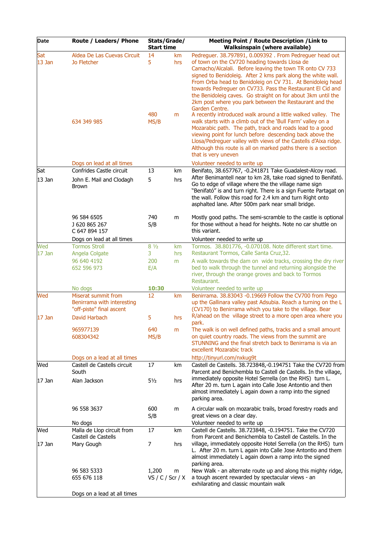| Date               | Route / Leaders/ Phone                                                        | Stats/Grade/<br><b>Start time</b> |                | Meeting Point / Route Description / Link to<br><b>Walksinspain (where available)</b>                                                                                                                                                                                                                                                                                                                                                                                                                                                                                                                                                                                                                                                                                 |  |  |
|--------------------|-------------------------------------------------------------------------------|-----------------------------------|----------------|----------------------------------------------------------------------------------------------------------------------------------------------------------------------------------------------------------------------------------------------------------------------------------------------------------------------------------------------------------------------------------------------------------------------------------------------------------------------------------------------------------------------------------------------------------------------------------------------------------------------------------------------------------------------------------------------------------------------------------------------------------------------|--|--|
| Sat<br>$13$ Jan    | Aldea De Las Cuevas Circuit<br>Jo Fletcher<br>634 349 985                     | 14<br>5<br>480<br>MS/B            | km<br>hrs<br>m | Pedreguer. 38.797891, 0.009392. From Pedreguer head out<br>of town on the CV720 heading towards Llosa de<br>Camacho/Alcalali. Before leaving the town TR onto CV 733<br>signed to Benidoleig. After 2 kms park along the white wall.<br>From Orba head to Benidoleig on CV 731. At Benidoleig head<br>towards Pedreguer on CV733. Pass the Restaurant El Cid and<br>the Benidoleig caves. Go straight on for about 3km until the<br>2km post where you park between the Restaurant and the<br>Garden Centre.<br>A recently introduced walk around a little walked valley. The<br>walk starts with a climb out of the 'Bull Farm' valley on a<br>Mozarabic path. The path, track and roads lead to a good<br>viewing point for lunch before descending back above the |  |  |
|                    |                                                                               |                                   |                | Llosa/Pedreguer valley with views of the Castells d'Aixa ridge.<br>Although this route is all on marked paths there is a section<br>that is very uneven                                                                                                                                                                                                                                                                                                                                                                                                                                                                                                                                                                                                              |  |  |
|                    | Dogs on lead at all times                                                     |                                   |                | Volunteer needed to write up                                                                                                                                                                                                                                                                                                                                                                                                                                                                                                                                                                                                                                                                                                                                         |  |  |
| Sat<br>$13$ Jan    | Confrides Castle circuit<br>John E. Mail and Clodagh<br><b>Brown</b>          | 13<br>5                           | km<br>hrs      | Benifato, 38.657767, -0.241871 Take Guadalest-Alcoy road.<br>After Benimantell near to km 28, take road signed to Benifató.<br>Go to edge of village where the the village name sign<br>"Benifató" is and turn right. There is a sign Fuente Partagat on<br>the wall. Follow this road for 2.4 km and turn Right onto<br>asphalted lane. After 500m park near small bridge.                                                                                                                                                                                                                                                                                                                                                                                          |  |  |
|                    | 96 584 6505<br>J 620 865 267<br>C 647 894 157                                 | 740<br>S/B                        | m              | Mostly good paths. The semi-scramble to the castle is optional<br>for those without a head for heights. Note no car shuttle on<br>this variant.                                                                                                                                                                                                                                                                                                                                                                                                                                                                                                                                                                                                                      |  |  |
|                    | Dogs on lead at all times                                                     |                                   |                | Volunteer needed to write up                                                                                                                                                                                                                                                                                                                                                                                                                                                                                                                                                                                                                                                                                                                                         |  |  |
| Wed<br>17 Jan      | <b>Tormos Stroll</b><br>Angela Colgate                                        | $8\frac{1}{2}$<br>3               | km<br>hrs      | Tormos. 38.801776, -0.070108. Note different start time.<br>Restaurant Tormos, Calle Santa Cruz, 32.                                                                                                                                                                                                                                                                                                                                                                                                                                                                                                                                                                                                                                                                 |  |  |
|                    | 96 640 4192<br>652 596 973                                                    | 200<br>E/A                        | m              | A walk towards the dam on wide tracks, crossing the dry river<br>bed to walk through the tunnel and returning alongside the<br>river, through the orange groves and back to Tormos<br>Restaurant.                                                                                                                                                                                                                                                                                                                                                                                                                                                                                                                                                                    |  |  |
|                    | No dogs                                                                       | 10:30                             |                | Volunteer needed to write up                                                                                                                                                                                                                                                                                                                                                                                                                                                                                                                                                                                                                                                                                                                                         |  |  |
| Wed                | Miserat summit from<br>Benirrama with interesting<br>"off-piste" final ascent | 12                                | km             | Benirrama. 38.83043 -0.19669 Follow the CV700 from Pego<br>up the Gallinara valley past Adsubia. Reach a turning on the L<br>(CV170) to Benirrama which you take to the village. Bear                                                                                                                                                                                                                                                                                                                                                                                                                                                                                                                                                                                |  |  |
| $17$ Jan           | David Harbach                                                                 | 5                                 | hrs            | R/ahead on the village street to a more open area where you<br>park.                                                                                                                                                                                                                                                                                                                                                                                                                                                                                                                                                                                                                                                                                                 |  |  |
|                    | 965977139<br>608304342                                                        | 640<br>MS/B                       | m              | The walk is on well defined paths, tracks and a small amount<br>on quiet country roads. The views from the summit are<br>STUNNING and the final stretch back to Benirrama is via an<br>excellent Mozarabic track                                                                                                                                                                                                                                                                                                                                                                                                                                                                                                                                                     |  |  |
|                    | Dogs on a lead at all times                                                   |                                   |                | http://tinyurl.com/nxkug9t                                                                                                                                                                                                                                                                                                                                                                                                                                                                                                                                                                                                                                                                                                                                           |  |  |
| Wed<br>$17$ Jan    | Castell de Castells circuit<br>South<br>Alan Jackson                          | 17<br>$5\frac{1}{2}$              | km<br>hrs      | Castell de Castells. 38.723848,-0.194751 Take the CV720 from<br>Parcent and Benichembla to Castell de Castells. In the village,<br>immediately opposite Hotel Serrella (on the RHS) turn L.                                                                                                                                                                                                                                                                                                                                                                                                                                                                                                                                                                          |  |  |
|                    |                                                                               |                                   |                | After 20 m. turn L again into Calle Jose Antontio and then<br>almost immediately L again down a ramp into the signed<br>parking area.                                                                                                                                                                                                                                                                                                                                                                                                                                                                                                                                                                                                                                |  |  |
|                    | 96 558 3637<br>No dogs                                                        | 600<br>S/B                        | m              | A circular walk on mozarabic trails, broad forestry roads and<br>great views on a clear day.<br>Volunteer needed to write up                                                                                                                                                                                                                                                                                                                                                                                                                                                                                                                                                                                                                                         |  |  |
| Wed                | Malla de Llop circuit from                                                    | 17                                | km             | Castell de Castells. 38.723848, -0.194751. Take the CV720                                                                                                                                                                                                                                                                                                                                                                                                                                                                                                                                                                                                                                                                                                            |  |  |
| $ 17 \text{ Jan }$ | Castell de Castells<br>Mary Gough                                             | $\overline{7}$                    | hrs            | from Parcent and Benichembla to Castell de Castells. In the<br>village, immediately opposite Hotel Serrella (on the RHS) turn<br>L. After 20 m. turn L again into Calle Jose Antontio and them<br>almost immediately L again down a ramp into the signed<br>parking area.                                                                                                                                                                                                                                                                                                                                                                                                                                                                                            |  |  |
|                    | 96 583 5333<br>655 676 118                                                    | 1,200<br>VS / C / Scr / X         | m              | New Walk - an alternate route up and along this mighty ridge,<br>a tough ascent rewarded by spectacular views - an<br>exhilarating and classic mountain walk                                                                                                                                                                                                                                                                                                                                                                                                                                                                                                                                                                                                         |  |  |
|                    | Dogs on a lead at all times                                                   |                                   |                |                                                                                                                                                                                                                                                                                                                                                                                                                                                                                                                                                                                                                                                                                                                                                                      |  |  |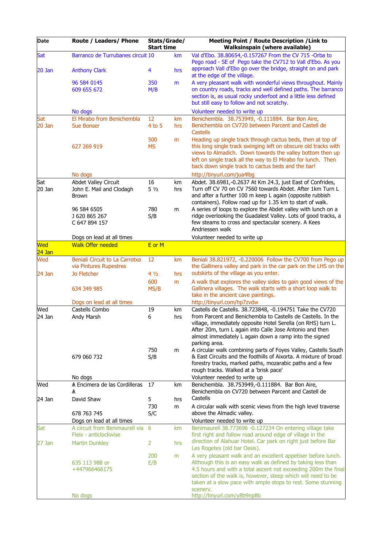| Date            | Route / Leaders/ Phone                                                  | Stats/Grade/<br><b>Start time</b> |           | <b>Meeting Point / Route Description / Link to</b><br><b>Walksinspain (where available)</b>                                                                                                                                                                                                                                                                                |
|-----------------|-------------------------------------------------------------------------|-----------------------------------|-----------|----------------------------------------------------------------------------------------------------------------------------------------------------------------------------------------------------------------------------------------------------------------------------------------------------------------------------------------------------------------------------|
| Sat<br>$20$ Jan | Barranco de Turrubanes circuit 10<br><b>Anthony Clark</b>               | 4                                 | km<br>hrs | Val d'Ebo. 38.80654,-0.157267 From the CV 715 -Orba to<br>Pego road - SE of Pego take the CV712 to Vall d'Ebo. As you<br>approach Vall d'Ebo go over the bridge, straight on and park                                                                                                                                                                                      |
|                 | 96 584 0145<br>609 655 672                                              | 350<br>M/B                        | m         | at the edge of the village.<br>A very pleasant walk with wonderful views throughout. Mainly<br>on country roads, tracks and well defined paths. The barranco<br>section is, as usual rocky underfoot and a little less defined<br>but still easy to follow and not scratchy.                                                                                               |
|                 | No dogs                                                                 |                                   |           | Volunteer needed to write up                                                                                                                                                                                                                                                                                                                                               |
| Sat<br>$20$ Jan | El Mirabo from Benichembla<br><b>Sue Bonser</b>                         | 12<br>$4$ to 5                    | km<br>hrs | Benichembla. 38.753949, -0.111884. Bar Bon Aire,<br>Benichembla on CV720 between Parcent and Castell de<br><b>Castells</b>                                                                                                                                                                                                                                                 |
|                 | 627 269 919                                                             | 500<br><b>MS</b>                  | m         | Heading up single track through cactus beds, then at top of<br>this long single track swinging left on obscure old tracks with<br>views to Almadich. Down towards the valley bottom then up<br>left on single track all the way to El Mirabo for lunch. Then<br>back down single track to cactus beds and the bar!                                                         |
|                 | No dogs                                                                 |                                   |           | http://tinyurl.com/jua4lbg                                                                                                                                                                                                                                                                                                                                                 |
| Sat<br>$20$ Jan | Abdet Valley Circuit<br>John E. Mail and Clodagh<br><b>Brown</b>        | 16<br>$5\frac{1}{2}$              | km<br>hrs | Abdet. 38.6981,-0.2637 At Km 24.3, just East of Confrides,<br>Turn off CV 70 on CV 7560 towards Abdet. After 1km Turn L<br>and after a further 100 m keep L again (opposite rubbish<br>containers). Follow road up for 1.35 km to start of walk.                                                                                                                           |
|                 | 96 584 6505<br>J 620 865 267<br>C 647 894 157                           | 780<br>S/B                        | m         | A series of loops to explore the Abdet valley with lunch on a<br>ridge overlooking the Guadalest Valley. Lots of good tracks, a<br>few steams to cross and spectacular scenery. A Kees<br>Andriessen walk                                                                                                                                                                  |
|                 | Dogs on lead at all times                                               |                                   |           | Volunteer needed to write up                                                                                                                                                                                                                                                                                                                                               |
| Wed             | <b>Walk Offer needed</b>                                                | E or M                            |           |                                                                                                                                                                                                                                                                                                                                                                            |
| $24$ Jan        |                                                                         |                                   |           |                                                                                                                                                                                                                                                                                                                                                                            |
| Wed<br>24 Jan   | Beniali Circuit to La Carrotxa<br>via Pintures Rupestres<br>Jo Fletcher | 12<br>$4\frac{1}{2}$              | km<br>hrs | Beniali 38.821972, -0.220006 Follow the CV700 from Pego up<br>the Gallinera valley and park in the car park on the LHS on the<br>outskirts of the village as you enter.                                                                                                                                                                                                    |
|                 |                                                                         | 600                               | m         | A walk that explores the valley sides to gain good views of the                                                                                                                                                                                                                                                                                                            |
|                 | 634 349 985                                                             | MS/B                              |           | Gallinera villages. The walk starts with a short loop walk to<br>take in the ancient cave paintings.                                                                                                                                                                                                                                                                       |
| Wed             | Dogs on lead at all times<br>Castells Combo                             | 19                                | km        | http://tinyurl.com/hp7zvdw<br>Castells de Castells. 38.723848, -0.194751 Take the CV720                                                                                                                                                                                                                                                                                    |
| 24 Jan          | Andy Marsh                                                              | 6                                 | hrs       | from Parcent and Benichembla to Castells de Castells. In the<br>village, immediately opposite Hotel Serella (on RHS) turn L.<br>After 20m, turn L again into Calle Jose Antonio and then<br>almost immediately L again down a ramp into the signed<br>parking area.                                                                                                        |
|                 | 679 060 732                                                             | 750<br>S/B                        | m         | A circular walk combining parts of Foyes Valley, Castells South<br>& East Circuits and the foothills of Aixorta. A mixture of broad<br>forestry tracks, marked paths, mozarabic paths and a few<br>rough tracks. Walked at a 'brisk pace'                                                                                                                                  |
| Wed             | No dogs<br>A Encimera de las Cordilleras                                | 17                                | km        | Volunteer needed to write up<br>Benichembla. 38.753949,-0.111884. Bar Bon Aire,                                                                                                                                                                                                                                                                                            |
|                 | A                                                                       |                                   |           | Benichembla on CV720 between Parcent and Castell de<br>Castells                                                                                                                                                                                                                                                                                                            |
| 24 Jan          | David Shaw                                                              | 5<br>730                          | hrs<br>m  | A circular walk with scenic views from the high level traverse                                                                                                                                                                                                                                                                                                             |
|                 | 678 763 745<br>Dogs on lead at all times                                | S/C                               |           | above the Almadic valley.<br>Volunteer needed to write up                                                                                                                                                                                                                                                                                                                  |
| Sat             | A circuit from Benimaurell via<br>Fleix - anticlockwise                 | 6                                 | km        | Benimaurell 38.773696 -0.127234 On entering village take<br>first right and follow road around edge of village in the                                                                                                                                                                                                                                                      |
| 27 Jan          | <b>Martin Dunkley</b>                                                   | 2                                 | hrs       | direction of Alahuar Hotel. Car park on right just before Bar<br>Les Rogetes (old bar Oasis).                                                                                                                                                                                                                                                                              |
|                 | 635 113 988 or<br>+447966466175<br>No dogs                              | 200<br>E/B                        | m         | A very pleasant walk and an excellent appetiser before lunch.<br>Although this is an easy walk as defined by taking less than<br>4.5 hours and with a total ascent not exceeding 200m the final<br>section of the walk is, however, steep which will need to be<br>taken at a slow pace with ample stops to rest. Some stunning<br>scenery.<br>http://tinyurl.com/y8b9np8b |
|                 |                                                                         |                                   |           |                                                                                                                                                                                                                                                                                                                                                                            |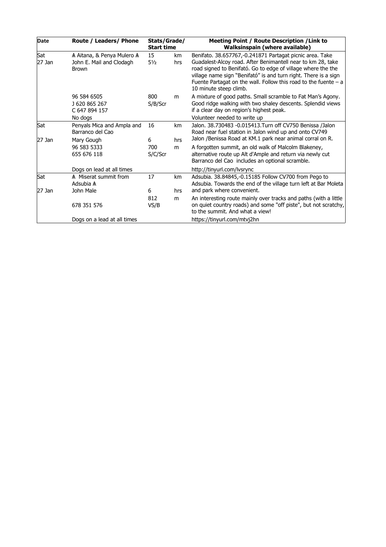| Date            | Route / Leaders/ Phone                                                 | Stats/Grade/<br><b>Start time</b> |           | Meeting Point / Route Description / Link to<br><b>Walksinspain (where available)</b>                                                                                                                                                                                                                                                                      |  |
|-----------------|------------------------------------------------------------------------|-----------------------------------|-----------|-----------------------------------------------------------------------------------------------------------------------------------------------------------------------------------------------------------------------------------------------------------------------------------------------------------------------------------------------------------|--|
| Sat<br>$27$ Jan | A Aitana, & Penya Mulero A<br>John E. Mail and Clodagh<br><b>Brown</b> | 15<br>$5\frac{1}{2}$              | km<br>hrs | Benifato. 38.657767,-0.241871 Partagat picnic area. Take<br>Guadalest-Alcoy road. After Benimantell near to km 28, take<br>road signed to Benifató. Go to edge of village where the the<br>village name sign "Benifató" is and turn right. There is a sign<br>Fuente Partagat on the wall. Follow this road to the fuente $- a$<br>10 minute steep climb. |  |
|                 | 96 584 6505<br>J 620 865 267<br>C 647 894 157<br>No dogs               | 800<br>S/B/Scr                    | m         | A mixture of good paths. Small scramble to Fat Man's Agony.<br>Good ridge walking with two shaley descents. Splendid views<br>if a clear day on region's highest peak.<br>Volunteer needed to write up                                                                                                                                                    |  |
| Sat<br>27 Jan   | Penyals Mica and Ampla and<br>Barranco del Cao                         | 16<br>6                           | km<br>hrs | Jalon. 38.730483 -0.015413.Turn off CV750 Benissa /Jalon<br>Road near fuel station in Jalon wind up and onto CV749<br>Jalon /Benissa Road at KM.1 park near animal corral on R.                                                                                                                                                                           |  |
|                 | Mary Gough<br>96 583 5333<br>655 676 118                               | 700<br>S/C/Scr                    | m         | A forgotten summit, an old walk of Malcolm Blakeney,<br>alternative route up Alt d'Ample and return via newly cut<br>Barranco del Cao includes an optional scramble.                                                                                                                                                                                      |  |
|                 | Dogs on lead at all times                                              |                                   |           | http://tinyurl.com/lysrync                                                                                                                                                                                                                                                                                                                                |  |
| Sat             | A Miserat summit from<br>Adsubia A                                     | 17                                | km        | Adsubia. 38.84845,-0.15185 Follow CV700 from Pego to<br>Adsubia. Towards the end of the village turn left at Bar Moleta                                                                                                                                                                                                                                   |  |
| 27 Jan          | John Male                                                              | 6                                 | hrs       | and park where convenient.                                                                                                                                                                                                                                                                                                                                |  |
|                 | 678 351 576                                                            | 812<br>VS/B                       | m         | An interesting route mainly over tracks and paths (with a little<br>on quiet country roads) and some "off piste", but not scratchy,<br>to the summit. And what a view!                                                                                                                                                                                    |  |
|                 | Dogs on a lead at all times                                            |                                   |           | https://tinyurl.com/mtvj2hn                                                                                                                                                                                                                                                                                                                               |  |